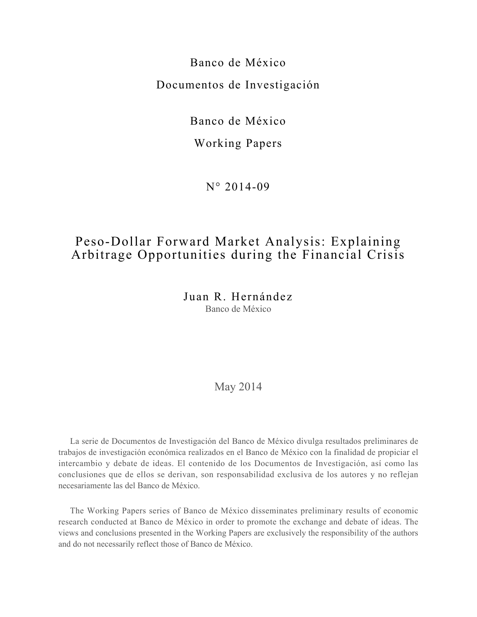Banco de México Documentos de Investigación

Banco de México

# Working Papers

N° 2014-09

# Peso-Dollar Forward Market Analysis: Explaining Arbitrage Opportunities during the Financial Crisis

Juan R. Hernández Banco de México

## May 2014

La serie de Documentos de Investigación del Banco de México divulga resultados preliminares de trabajos de investigación económica realizados en el Banco de México con la finalidad de propiciar el intercambio y debate de ideas. El contenido de los Documentos de Investigación, así como las conclusiones que de ellos se derivan, son responsabilidad exclusiva de los autores y no reflejan necesariamente las del Banco de México.

The Working Papers series of Banco de México disseminates preliminary results of economic research conducted at Banco de México in order to promote the exchange and debate of ideas. The views and conclusions presented in the Working Papers are exclusively the responsibility of the authors and do not necessarily reflect those of Banco de México.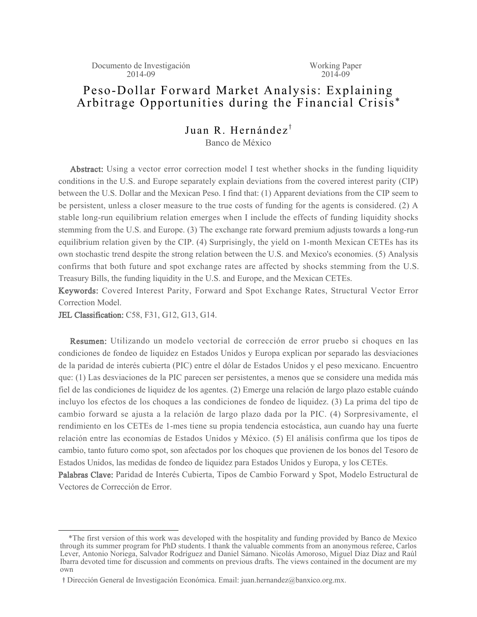# Peso-Dollar Forward Market Analysis: Explaining Arbitrage Opportunities during the Financial Crisis \*

Juan R. Hernández $^{\dagger}$ Banco de México

Abstract: Using a vector error correction model I test whether shocks in the funding liquidity conditions in the U.S. and Europe separately explain deviations from the covered interest parity (CIP) between the U.S. Dollar and the Mexican Peso. I find that: (1) Apparent deviations from the CIP seem to be persistent, unless a closer measure to the true costs of funding for the agents is considered. (2) A stable long-run equilibrium relation emerges when I include the effects of funding liquidity shocks stemming from the U.S. and Europe. (3) The exchange rate forward premium adjusts towards a long-run equilibrium relation given by the CIP. (4) Surprisingly, the yield on 1-month Mexican CETEs has its own stochastic trend despite the strong relation between the U.S. and Mexico's economies. (5) Analysis confirms that both future and spot exchange rates are affected by shocks stemming from the U.S. Treasury Bills, the funding liquidity in the U.S. and Europe, and the Mexican CETEs.

Keywords: Covered Interest Parity, Forward and Spot Exchange Rates, Structural Vector Error Correction Model.

JEL Classification: C58, F31, G12, G13, G14.

Resumen: Utilizando un modelo vectorial de corrección de error pruebo si choques en las condiciones de fondeo de liquidez en Estados Unidos y Europa explican por separado las desviaciones de la paridad de interés cubierta (PIC) entre el dólar de Estados Unidos y el peso mexicano. Encuentro que: (1) Las desviaciones de la PIC parecen ser persistentes, a menos que se considere una medida más fiel de las condiciones de liquidez de los agentes. (2) Emerge una relación de largo plazo estable cuándo incluyo los efectos de los choques a las condiciones de fondeo de liquidez. (3) La prima del tipo de cambio forward se ajusta a la relación de largo plazo dada por la PIC. (4) Sorpresivamente, el rendimiento en los CETEs de 1-mes tiene su propia tendencia estocástica, aun cuando hay una fuerte relación entre las economías de Estados Unidos y México. (5) El análisis confirma que los tipos de cambio, tanto futuro como spot, son afectados por los choques que provienen de los bonos del Tesoro de Estados Unidos, las medidas de fondeo de liquidez para Estados Unidos y Europa, y los CETEs.

Palabras Clave: Paridad de Interés Cubierta, Tipos de Cambio Forward y Spot, Modelo Estructural de Vectores de Corrección de Error.

 <sup>\*</sup>The first version of this work was developed with the hospitality and funding provided by Banco de Mexico through its summer program for PhD students. I thank the valuable comments from an anonymous referee, Carlos Lever, Antonio Noriega, Salvador Rodríguez and Daniel Sámano. Nicolás Amoroso, Miguel Díaz Díaz and Raúl Ibarra devoted time for discussion and comments on previous drafts. The views contained in the document are my own

 $\dagger$  Dirección General de Investigación Económica. Email: juan.hernandez@banxico.org.mx.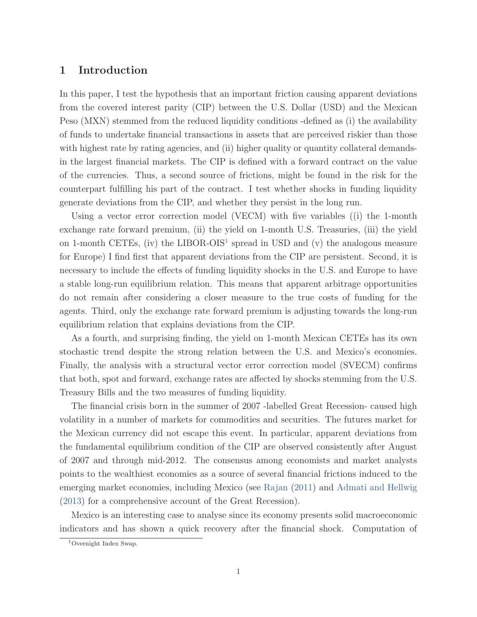### **1 Introduction**

In this paper, I test the hypothesis that an important friction causing apparent deviations from the covered interest parity (CIP) between the U.S. Dollar (USD) and the Mexican Peso (MXN) stemmed from the reduced liquidity conditions -defined as (i) the availability of funds to undertake financial transactions in assets that are perceived riskier than those with highest rate by rating agencies, and (ii) higher quality or quantity collateral demandsin the largest financial markets. The CIP is defined with a forward contract on the value of the currencies. Thus, a second source of frictions, might be found in the risk for the counterpart fulfilling his part of the contract. I test whether shocks in funding liquidity generate deviations from the CIP, and whether they persist in the long run.

Using a vector error correction model (VECM) with five variables ((i) the 1-month exchange rate forward premium, (ii) the yield on 1-month U.S. Treasuries, (iii) the yield on 1-month CETEs, (iv) the LIBOR-OIS<sup>1</sup> spread in USD and (v) the analogous measure for Europe) I find first that apparent deviations from the CIP are persistent. Second, it is necessary to include the effects of funding liquidity shocks in the U.S. and Europe to have a stable long-run equilibrium relation. This means that apparent arbitrage opportunities do not remain after considering a closer measure to the true costs of funding for the agents. Third, only the exchange rate forward premium is adjusting towards the long-run equilibrium relation that explains deviations from the CIP.

As a fourth, and surprising finding, the yield on 1-month Mexican CETEs has its own stochastic trend despite the strong relation between the U.S. and Mexico's economies. Finally, the analysis with a structural vector error correction model (SVECM) confirms that both, spot and forward, exchange rates are affected by shocks stemming from the U.S. Treasury Bills and the two measures of funding liquidity.

The financial crisis born in the summer of 2007 -labelled Great Recession- caused high volatility in a number of markets for commodities and securities. The futures market for the Mexican currency did not escape this event. In particular, apparent deviations from the fundamental equilibrium condition of the CIP are observed consistently after August of 2007 and through mid-2012. The consensus among economists and market analysts points to the wealthiest economies as a source of several financial frictions induced to the emerging market economies, including Mexico (see Rajan (2011) and Admati and Hellwig (2013) for a comprehensive account of the Great Recession).

Mexico is an interesting case to analyse since its economy presents solid macroeconomic indicators and has shown a quick recovery after the financial shock. Computation of

<sup>1</sup>Overnight Index Swap.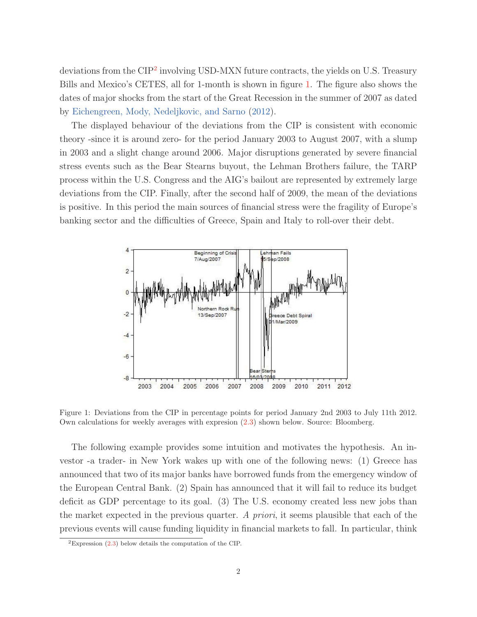deviations from the CIP<sup>2</sup> involving USD-MXN future contracts, the yields on U.S. Treasury Bills and Mexico's CETES, all for 1-month is shown in figure 1. The figure also shows the dates of major shocks from the start of the Great Recession in the summer of 2007 as dated by Eichengreen, Mody, Nedeljkovic, and Sarno (2012).

The displayed behaviour of the deviations from the CIP is consistent with economic theory -since it is around zero- for the period January 2003 to August 2007, with a slump in 2003 and a slight change around 2006. Major disruptions generated by severe financial stress events such as the Bear Stearns buyout, the Lehman Brothers failure, the TARP process within the U.S. Congress and the AIG's bailout are represented by extremely large deviations from the CIP. Finally, after the second half of 2009, the mean of the deviations is positive. In this period the main sources of financial stress were the fragility of Europe's banking sector and the difficulties of Greece, Spain and Italy to roll-over their debt.



Figure 1: Deviations from the CIP in percentage points for period January 2nd 2003 to July 11th 2012. Own calculations for weekly averages with expresion (2.3) shown below. Source: Bloomberg.

The following example provides some intuition and motivates the hypothesis. An investor -a trader- in New York wakes up with one of the following news: (1) Greece has announced that two of its major banks have borrowed funds from the emergency window of the European Central Bank. (2) Spain has announced that it will fail to reduce its budget deficit as GDP percentage to its goal. (3) The U.S. economy created less new jobs than the market expected in the previous quarter. A priori, it seems plausible that each of the previous events will cause funding liquidity in financial markets to fall. In particular, think

<sup>&</sup>lt;sup>2</sup>Expression  $(2.3)$  below details the computation of the CIP.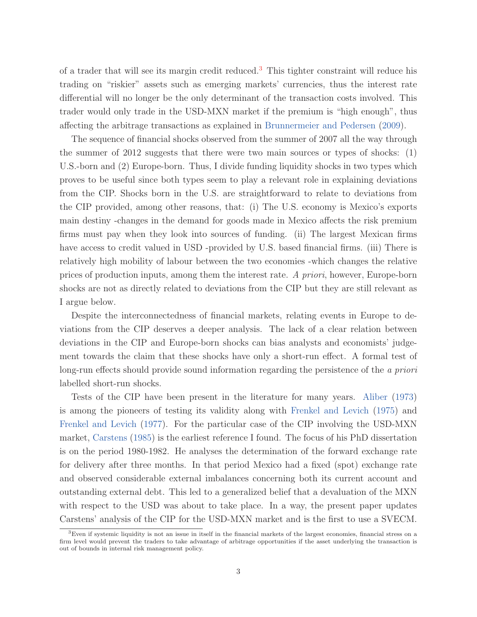of a trader that will see its margin credit reduced.<sup>3</sup> This tighter constraint will reduce his trading on "riskier" assets such as emerging markets' currencies, thus the interest rate differential will no longer be the only determinant of the transaction costs involved. This trader would only trade in the USD-MXN market if the premium is "high enough", thus affecting the arbitrage transactions as explained in Brunnermeier and Pedersen (2009).

The sequence of financial shocks observed from the summer of 2007 all the way through the summer of 2012 suggests that there were two main sources or types of shocks: (1) U.S.-born and (2) Europe-born. Thus, I divide funding liquidity shocks in two types which proves to be useful since both types seem to play a relevant role in explaining deviations from the CIP. Shocks born in the U.S. are straightforward to relate to deviations from the CIP provided, among other reasons, that: (i) The U.S. economy is Mexico's exports main destiny -changes in the demand for goods made in Mexico affects the risk premium firms must pay when they look into sources of funding. (ii) The largest Mexican firms have access to credit valued in USD -provided by U.S. based financial firms. (iii) There is relatively high mobility of labour between the two economies -which changes the relative prices of production inputs, among them the interest rate. A priori, however, Europe-born shocks are not as directly related to deviations from the CIP but they are still relevant as I argue below.

Despite the interconnectedness of financial markets, relating events in Europe to deviations from the CIP deserves a deeper analysis. The lack of a clear relation between deviations in the CIP and Europe-born shocks can bias analysts and economists' judgement towards the claim that these shocks have only a short-run effect. A formal test of long-run effects should provide sound information regarding the persistence of the a priori labelled short-run shocks.

Tests of the CIP have been present in the literature for many years. Aliber (1973) is among the pioneers of testing its validity along with Frenkel and Levich (1975) and Frenkel and Levich (1977). For the particular case of the CIP involving the USD-MXN market, Carstens (1985) is the earliest reference I found. The focus of his PhD dissertation is on the period 1980-1982. He analyses the determination of the forward exchange rate for delivery after three months. In that period Mexico had a fixed (spot) exchange rate and observed considerable external imbalances concerning both its current account and outstanding external debt. This led to a generalized belief that a devaluation of the MXN with respect to the USD was about to take place. In a way, the present paper updates Carstens' analysis of the CIP for the USD-MXN market and is the first to use a SVECM.

 ${}^{3}$ Even if systemic liquidity is not an issue in itself in the financial markets of the largest economies, financial stress on a firm level would prevent the traders to take advantage of arbitrage opportunities if the asset underlying the transaction is out of bounds in internal risk management policy.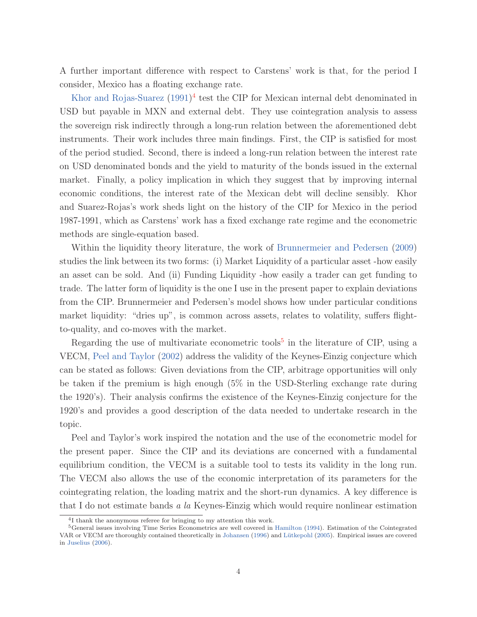A further important difference with respect to Carstens' work is that, for the period I consider, Mexico has a floating exchange rate.

Khor and Rojas-Suarez  $(1991)^4$  test the CIP for Mexican internal debt denominated in USD but payable in MXN and external debt. They use cointegration analysis to assess the sovereign risk indirectly through a long-run relation between the aforementioned debt instruments. Their work includes three main findings. First, the CIP is satisfied for most of the period studied. Second, there is indeed a long-run relation between the interest rate on USD denominated bonds and the yield to maturity of the bonds issued in the external market. Finally, a policy implication in which they suggest that by improving internal economic conditions, the interest rate of the Mexican debt will decline sensibly. Khor and Suarez-Rojas's work sheds light on the history of the CIP for Mexico in the period 1987-1991, which as Carstens' work has a fixed exchange rate regime and the econometric methods are single-equation based.

Within the liquidity theory literature, the work of Brunnermeier and Pedersen (2009) studies the link between its two forms: (i) Market Liquidity of a particular asset -how easily an asset can be sold. And (ii) Funding Liquidity -how easily a trader can get funding to trade. The latter form of liquidity is the one I use in the present paper to explain deviations from the CIP. Brunnermeier and Pedersen's model shows how under particular conditions market liquidity: "dries up", is common across assets, relates to volatility, suffers flightto-quality, and co-moves with the market.

Regarding the use of multivariate econometric tools<sup>5</sup> in the literature of CIP, using a VECM, Peel and Taylor (2002) address the validity of the Keynes-Einzig conjecture which can be stated as follows: Given deviations from the CIP, arbitrage opportunities will only be taken if the premium is high enough (5% in the USD-Sterling exchange rate during the 1920's). Their analysis confirms the existence of the Keynes-Einzig conjecture for the 1920's and provides a good description of the data needed to undertake research in the topic.

Peel and Taylor's work inspired the notation and the use of the econometric model for the present paper. Since the CIP and its deviations are concerned with a fundamental equilibrium condition, the VECM is a suitable tool to tests its validity in the long run. The VECM also allows the use of the economic interpretation of its parameters for the cointegrating relation, the loading matrix and the short-run dynamics. A key difference is that I do not estimate bands a la Keynes-Einzig which would require nonlinear estimation

<sup>&</sup>lt;sup>4</sup>I thank the anonymous referee for bringing to my attention this work.

<sup>5</sup>General issues involving Time Series Econometrics are well covered in Hamilton (1994). Estimation of the Cointegrated VAR or VECM are thoroughly contained theoretically in Johansen (1996) and Lütkepohl (2005). Empirical issues are covered in Juselius (2006).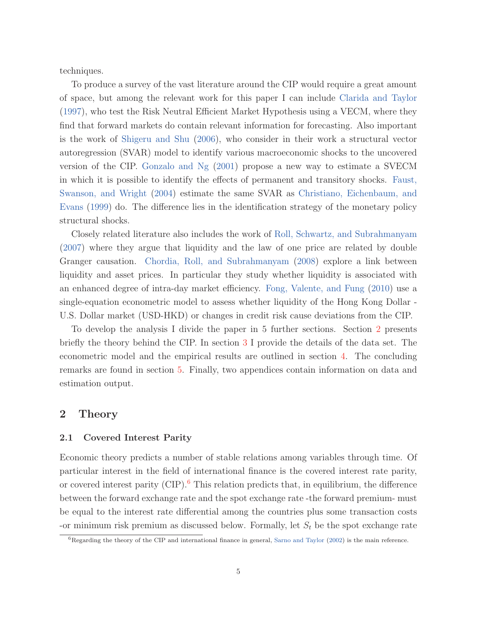techniques.

To produce a survey of the vast literature around the CIP would require a great amount of space, but among the relevant work for this paper I can include Clarida and Taylor (1997), who test the Risk Neutral Efficient Market Hypothesis using a VECM, where they find that forward markets do contain relevant information for forecasting. Also important is the work of Shigeru and Shu (2006), who consider in their work a structural vector autoregression (SVAR) model to identify various macroeconomic shocks to the uncovered version of the CIP. Gonzalo and Ng (2001) propose a new way to estimate a SVECM in which it is possible to identify the effects of permanent and transitory shocks. Faust, Swanson, and Wright (2004) estimate the same SVAR as Christiano, Eichenbaum, and Evans (1999) do. The difference lies in the identification strategy of the monetary policy structural shocks.

Closely related literature also includes the work of Roll, Schwartz, and Subrahmanyam (2007) where they argue that liquidity and the law of one price are related by double Granger causation. Chordia, Roll, and Subrahmanyam (2008) explore a link between liquidity and asset prices. In particular they study whether liquidity is associated with an enhanced degree of intra-day market efficiency. Fong, Valente, and Fung (2010) use a single-equation econometric model to assess whether liquidity of the Hong Kong Dollar - U.S. Dollar market (USD-HKD) or changes in credit risk cause deviations from the CIP.

To develop the analysis I divide the paper in 5 further sections. Section 2 presents briefly the theory behind the CIP. In section 3 I provide the details of the data set. The econometric model and the empirical results are outlined in section 4. The concluding remarks are found in section 5. Finally, two appendices contain information on data and estimation output.

### **2 Theory**

#### **2.1 Covered Interest Parity**

Economic theory predicts a number of stable relations among variables through time. Of particular interest in the field of international finance is the covered interest rate parity, or covered interest parity (CIP).<sup>6</sup> This relation predicts that, in equilibrium, the difference between the forward exchange rate and the spot exchange rate -the forward premium- must be equal to the interest rate differential among the countries plus some transaction costs -or minimum risk premium as discussed below. Formally, let  $S_t$  be the spot exchange rate

 $6R$ egarding the theory of the CIP and international finance in general, Sarno and Taylor (2002) is the main reference.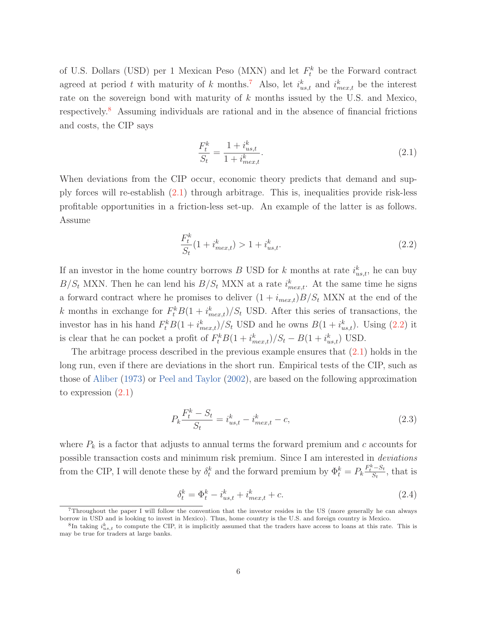of U.S. Dollars (USD) per 1 Mexican Peso (MXN) and let  $F_t^k$  be the Forward contract agreed at period t with maturity of k months.<sup>7</sup> Also, let  $i_{us,t}^k$  and  $i_{mex,t}^k$  be the interest rate on the sovereign bond with maturity of k months issued by the U.S. and Mexico, respectively.<sup>8</sup> Assuming individuals are rational and in the absence of financial frictions and costs, the CIP says

$$
\frac{F_t^k}{S_t} = \frac{1 + i_{us,t}^k}{1 + i_{mex,t}^k}.
$$
\n(2.1)

When deviations from the CIP occur, economic theory predicts that demand and supply forces will re-establish (2.1) through arbitrage. This is, inequalities provide risk-less profitable opportunities in a friction-less set-up. An example of the latter is as follows. Assume

$$
\frac{F_t^k}{S_t}(1 + i_{mex,t}^k) > 1 + i_{us,t}^k.
$$
\n(2.2)

If an investor in the home country borrows B USD for k months at rate  $i_{us,t}^k$ , he can buy  $B/S_t$  MXN. Then he can lend his  $B/S_t$  MXN at a rate  $i_{mex,t}^k$ . At the same time he signs a forward contract where he promises to deliver  $(1 + i_{mex,t})B/S_t$  MXN at the end of the k months in exchange for  $F_t^k B(1 + i_{mex,t}^k)/S_t$  USD. After this series of transactions, the investor has in his hand  $F_t^k B(1 + i_{mex,t}^k)/S_t$  USD and he owns  $B(1 + i_{us,t}^k)$ . Using (2.2) it is clear that he can pocket a profit of  $F_t^k B(1 + i_{mex,t}^k)/S_t - B(1 + i_{us,t}^k)$  USD.

The arbitrage process described in the previous example ensures that  $(2.1)$  holds in the long run, even if there are deviations in the short run. Empirical tests of the CIP, such as those of Aliber (1973) or Peel and Taylor (2002), are based on the following approximation to expression (2.1)

$$
P_k \frac{F_t^k - S_t}{S_t} = i_{us,t}^k - i_{mex,t}^k - c,\t\t(2.3)
$$

where  $P_k$  is a factor that adjusts to annual terms the forward premium and c accounts for possible transaction costs and minimum risk premium. Since I am interested in deviations from the CIP, I will denote these by  $\delta_t^k$  and the forward premium by  $\Phi_t^k = P_k \frac{F_t^k - S_t}{S_t}$ , that is

$$
\delta_t^k = \Phi_t^k - i_{us,t}^k + i_{mex,t}^k + c.
$$
\n(2.4)

<sup>7</sup>Throughout the paper I will follow the convention that the investor resides in the US (more generally he can always borrow in USD and is looking to invest in Mexico). Thus, home country is the U.S. and foreign country is Mexico.

<sup>&</sup>lt;sup>8</sup>In taking  $i_{us,t}^k$  to compute the CIP, it is implicitly assumed that the traders have access to loans at this rate. This is may be true for traders at large banks.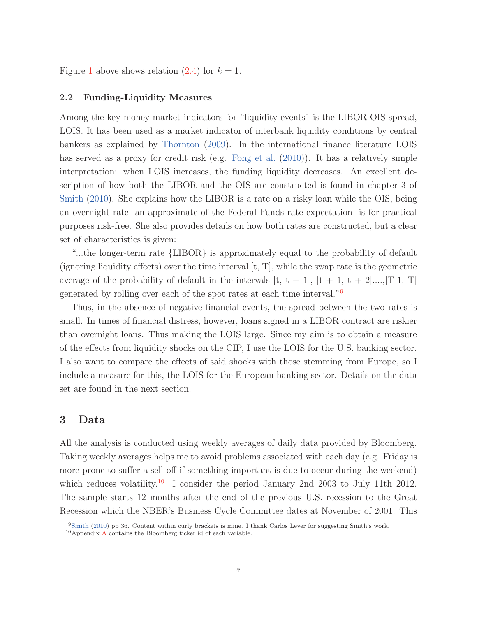Figure 1 above shows relation  $(2.4)$  for  $k = 1$ .

#### **2.2 Funding-Liquidity Measures**

Among the key money-market indicators for "liquidity events" is the LIBOR-OIS spread, LOIS. It has been used as a market indicator of interbank liquidity conditions by central bankers as explained by Thornton (2009). In the international finance literature LOIS has served as a proxy for credit risk (e.g. Fong et al. (2010)). It has a relatively simple interpretation: when LOIS increases, the funding liquidity decreases. An excellent description of how both the LIBOR and the OIS are constructed is found in chapter 3 of Smith (2010). She explains how the LIBOR is a rate on a risky loan while the OIS, being an overnight rate -an approximate of the Federal Funds rate expectation- is for practical purposes risk-free. She also provides details on how both rates are constructed, but a clear set of characteristics is given:

"...the longer-term rate {LIBOR} is approximately equal to the probability of default (ignoring liquidity effects) over the time interval  $[t, T]$ , while the swap rate is the geometric average of the probability of default in the intervals  $[t, t + 1]$ ,  $[t + 1, t + 2]$ ...., [T-1, T] generated by rolling over each of the spot rates at each time interval."<sup>9</sup>

Thus, in the absence of negative financial events, the spread between the two rates is small. In times of financial distress, however, loans signed in a LIBOR contract are riskier than overnight loans. Thus making the LOIS large. Since my aim is to obtain a measure of the effects from liquidity shocks on the CIP, I use the LOIS for the U.S. banking sector. I also want to compare the effects of said shocks with those stemming from Europe, so I include a measure for this, the LOIS for the European banking sector. Details on the data set are found in the next section.

### **3 Data**

All the analysis is conducted using weekly averages of daily data provided by Bloomberg. Taking weekly averages helps me to avoid problems associated with each day (e.g. Friday is more prone to suffer a sell-off if something important is due to occur during the weekend) which reduces volatility.<sup>10</sup> I consider the period January 2nd 2003 to July 11th 2012. The sample starts 12 months after the end of the previous U.S. recession to the Great Recession which the NBER's Business Cycle Committee dates at November of 2001. This

<sup>&</sup>lt;sup>9</sup>Smith (2010) pp 36. Content within curly brackets is mine. I thank Carlos Lever for suggesting Smith's work.

 $10$ Appendix A contains the Bloomberg ticker id of each variable.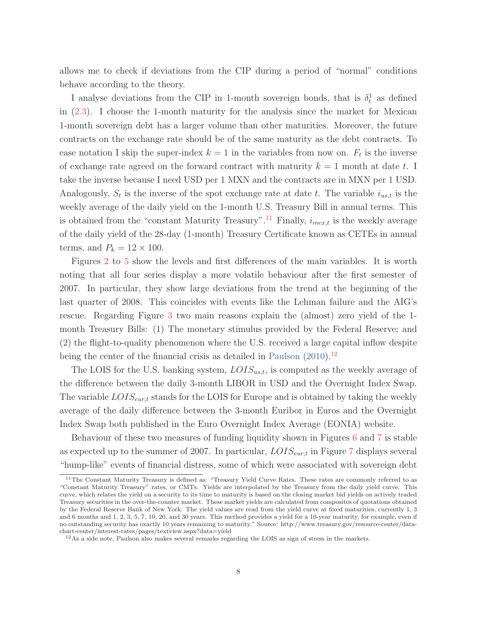allows me to check if deviations from the CIP during a period of "normal" conditions behave according to the theory.

I analyse deviations from the CIP in 1-month sovereign bonds, that is  $\delta_t^1$  as defined in (2.3). I choose the 1-month maturity for the analysis since the market for Mexican 1-month sovereign debt has a larger volume than other maturities. Moreover, the future contracts on the exchange rate should be of the same maturity as the debt contracts. To ease notation I skip the super-index  $k = 1$  in the variables from now on.  $F_t$  is the inverse of exchange rate agreed on the forward contract with maturity  $k = 1$  month at date t. I take the inverse because I need USD per 1 MXN and the contracts are in MXN per 1 USD. Analogously,  $S_t$  is the inverse of the spot exchange rate at date t. The variable  $i_{ust}$  is the weekly average of the daily yield on the 1-month U.S. Treasury Bill in annual terms. This is obtained from the "constant Maturity Treasury".<sup>11</sup> Finally,  $i_{mex,t}$  is the weekly average of the daily yield of the 28-day (1-month) Treasury Certificate known as CETEs in annual terms, and  $P_k = 12 \times 100$ .

Figures 2 to 5 show the levels and first differences of the main variables. It is worth noting that all four series display a more volatile behaviour after the first semester of 2007. In particular, they show large deviations from the trend at the beginning of the last quarter of 2008. This coincides with events like the Lehman failure and the AIG's rescue. Regarding Figure 3 two main reasons explain the (almost) zero yield of the 1 month Treasury Bills: (1) The monetary stimulus provided by the Federal Reserve; and (2) the flight-to-quality phenomenon where the U.S. received a large capital inflow despite being the center of the financial crisis as detailed in Paulson  $(2010)^{12}$ 

The LOIS for the U.S. banking system,  $LOIS_{us,t}$ , is computed as the weekly average of the difference between the daily 3-month LIBOR in USD and the Overnight Index Swap. The variable  $LOIS_{\text{cur},t}$  stands for the LOIS for Europe and is obtained by taking the weekly average of the daily difference between the 3-month Euribor in Euros and the Overnight Index Swap both published in the Euro Overnight Index Average (EONIA) website.

Behaviour of these two measures of funding liquidity shown in Figures 6 and 7 is stable as expected up to the summer of 2007. In particular,  $LOIS_{\text{cur},t}$  in Figure 7 displays several "hump-like" events of financial distress, some of which were associated with sovereign debt

<sup>&</sup>lt;sup>11</sup>The Constant Maturity Treasury is defined as: "Treasury Yield Curve Rates. These rates are commonly referred to as "Constant Maturity Treasury" rates, or CMTs. Yields are interpolated by the Treasury from the daily yield curve. This curve, which relates the yield on a security to its time to maturity is based on the closing market bid yields on actively traded Treasury securities in the over-the-counter market. These market yields are calculated from composites of quotations obtained by the Federal Reserve Bank of New York. The yield values are read from the yield curve at fixed maturities, currently 1, 3 and 6 months and 1, 2, 3, 5, 7, 10, 20, and 30 years. This method provides a yield for a 10-year maturity, for example, even if no outstanding security has exactly 10 years remaining to maturity." Source: http://www.treasury.gov/resource-center/datachart-center/interest-rates/pages/textview.aspx?data=yield

 $12\text{As}$  a side note, Paulson also makes several remarks regarding the LOIS as sign of stress in the markets.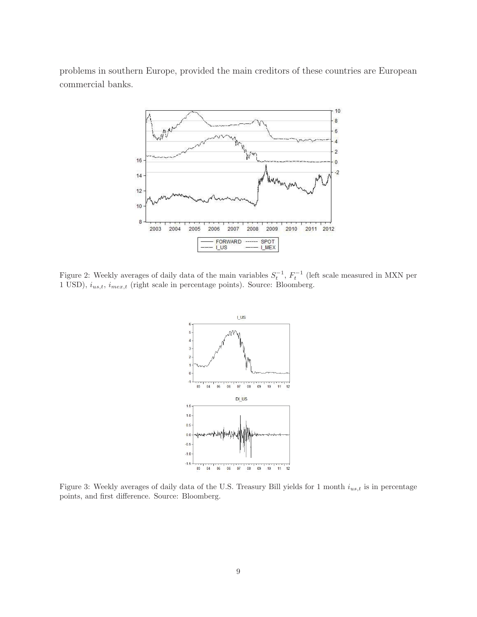problems in southern Europe, provided the main creditors of these countries are European commercial banks.



Figure 2: Weekly averages of daily data of the main variables  $S_t^{-1}$ ,  $F_t^{-1}$  (left scale measured in MXN per 1 USD),  $i_{us,t}$ ,  $i_{mex,t}$  (right scale in percentage points). Source: Bloomberg.



Figure 3: Weekly averages of daily data of the U.S. Treasury Bill yields for 1 month  $i_{us,t}$  is in percentage points, and first difference. Source: Bloomberg.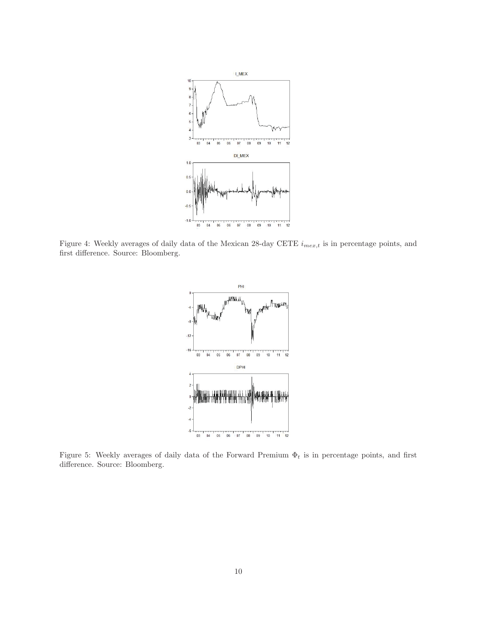

Figure 4: Weekly averages of daily data of the Mexican 28-day CETE  $i_{mex,t}$  is in percentage points, and first difference. Source: Bloomberg.



Figure 5: Weekly averages of daily data of the Forward Premium  $\Phi_t$  is in percentage points, and first difference. Source: Bloomberg.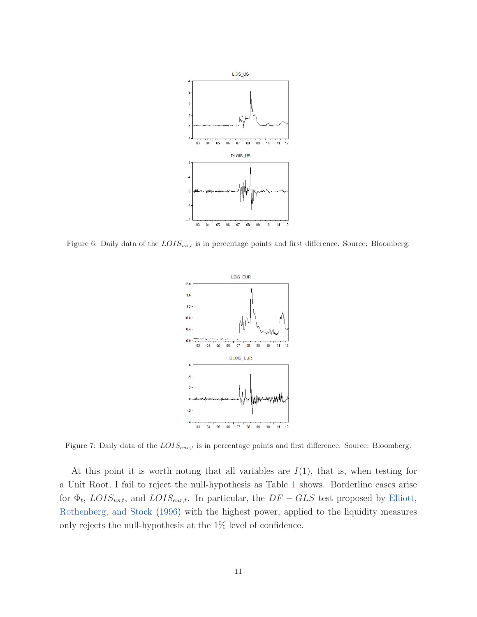

Figure 6: Daily data of the  $LOIS_{us,t}$  is in percentage points and first difference. Source: Bloomberg.



Figure 7: Daily data of the  $LOIS_{eur,t}$  is in percentage points and first difference. Source: Bloomberg.

At this point it is worth noting that all variables are  $I(1)$ , that is, when testing for a Unit Root, I fail to reject the null-hypothesis as Table 1 shows. Borderline cases arise for  $\Phi_t$ , LOIS<sub>us,t</sub>, and LOIS<sub>eur,t</sub>. In particular, the DF – GLS test proposed by Elliott, Rothenberg, and Stock (1996) with the highest power, applied to the liquidity measures only rejects the null-hypothesis at the 1% level of confidence.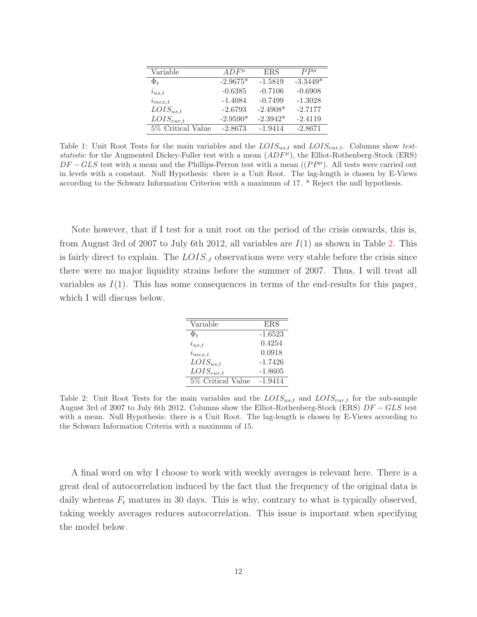| Variable          | $ADF^{\mu}$ | <b>ERS</b> | $PP^{\mu}$             |
|-------------------|-------------|------------|------------------------|
| $\Phi_t$          | $-2.9675*$  | $-1.5819$  | $-3.\overline{3449^*}$ |
| $i_{us,t}$        | $-0.6385$   | $-0.7106$  | $-0.6908$              |
| $i_{mex,t}$       | $-1.4084$   | $-0.7499$  | $-1.3028$              |
| $LOIS_{us,t}$     | $-2.6793$   | $-2.4908*$ | $-2.7177$              |
| $LOIS_{eur,t}$    | $-2.9590*$  | $-2.3942*$ | $-2.4119$              |
| 5% Critical Value | $-2.8673$   | $-1.9414$  | $-2.8671$              |

Table 1: Unit Root Tests for the main variables and the  $LOIS_{us,t}$  and  $LOIS_{eur,t}$ . Columns show teststatistic for the Augmented Dickey-Fuller test with a mean  $(ADF<sup>\mu</sup>)$ , the Elliot-Rothenberg-Stock (ERS)  $DF - GLS$  test with a mean and the Phillips-Perron test with a mean  $((PP^{\mu})$ . All tests were carried out in levels with a constant. Null Hypothesis: there is a Unit Root. The lag-length is chosen by E-Views according to the Schwarz Information Criterion with a maximum of 17. \* Reject the null hypothesis.

Note however, that if I test for a unit root on the period of the crisis onwards, this is, from August 3rd of 2007 to July 6th 2012, all variables are  $I(1)$  as shown in Table 2. This is fairly direct to explain. The  $LOIS_{t}$  observations were very stable before the crisis since there were no major liquidity strains before the summer of 2007. Thus, I will treat all variables as  $I(1)$ . This has some consequences in terms of the end-results for this paper, which I will discuss below.

| Variable          | ERS       |
|-------------------|-----------|
| $\Phi_{t}$        | $-1.6523$ |
| $i_{us,t}$        | 0.4254    |
| $i_{mex,t}$       | 0.0918    |
| $LOIS_{us,t}$     | $-1.7426$ |
| $LOIS_{eur,t}$    | $-1.8605$ |
| 5% Critical Value | $-1.9414$ |

Table 2: Unit Root Tests for the main variables and the  $LOIS_{ust}$  and  $LOIS_{eur,t}$  for the sub-sample August 3rd of 2007 to July 6th 2012. Columns show the Elliot-Rothenberg-Stock (ERS) DF − GLS test with a mean. Null Hypothesis: there is a Unit Root. The lag-length is chosen by E-Views according to the Schwarz Information Criteria with a maximum of 15.

A final word on why I choose to work with weekly averages is relevant here. There is a great deal of autocorrelation induced by the fact that the frequency of the original data is daily whereas  $F_t$  matures in 30 days. This is why, contrary to what is typically observed, taking weekly averages reduces autocorrelation. This issue is important when specifying the model below.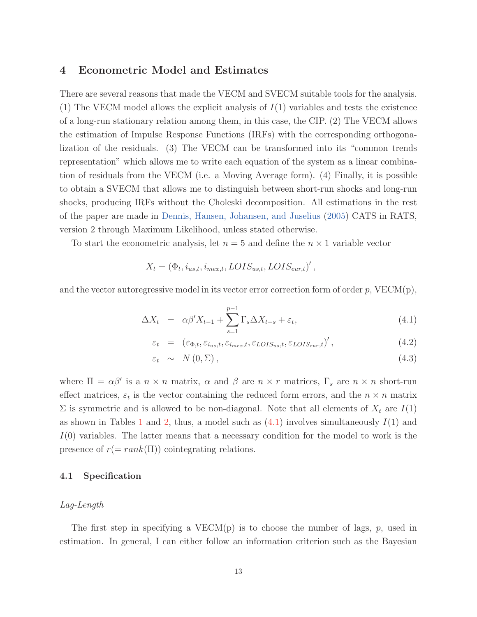### **4 Econometric Model and Estimates**

There are several reasons that made the VECM and SVECM suitable tools for the analysis. (1) The VECM model allows the explicit analysis of  $I(1)$  variables and tests the existence of a long-run stationary relation among them, in this case, the CIP. (2) The VECM allows the estimation of Impulse Response Functions (IRFs) with the corresponding orthogonalization of the residuals. (3) The VECM can be transformed into its "common trends representation" which allows me to write each equation of the system as a linear combination of residuals from the VECM (i.e. a Moving Average form). (4) Finally, it is possible to obtain a SVECM that allows me to distinguish between short-run shocks and long-run shocks, producing IRFs without the Choleski decomposition. All estimations in the rest of the paper are made in Dennis, Hansen, Johansen, and Juselius (2005) CATS in RATS, version 2 through Maximum Likelihood, unless stated otherwise.

To start the econometric analysis, let  $n = 5$  and define the  $n \times 1$  variable vector

$$
X_t = (\Phi_t, i_{us,t}, i_{mex,t}, LOIS_{us,t}, LOIS_{eur,t})',
$$

and the vector autoregressive model in its vector error correction form of order  $p$ ,  $VECM(p)$ ,

$$
\Delta X_t = \alpha \beta' X_{t-1} + \sum_{s=1}^{p-1} \Gamma_s \Delta X_{t-s} + \varepsilon_t, \tag{4.1}
$$

$$
\varepsilon_t = (\varepsilon_{\Phi,t}, \varepsilon_{i_{us},t}, \varepsilon_{i_{max},t}, \varepsilon_{LOIS_{us},t}, \varepsilon_{LOIS_{eur},t})', \qquad (4.2)
$$

$$
\varepsilon_t \sim N(0, \Sigma), \tag{4.3}
$$

where  $\Pi = \alpha \beta'$  is a  $n \times n$  matrix,  $\alpha$  and  $\beta$  are  $n \times r$  matrices,  $\Gamma_s$  are  $n \times n$  short-run effect matrices,  $\varepsilon_t$  is the vector containing the reduced form errors, and the  $n \times n$  matrix  $\Sigma$  is symmetric and is allowed to be non-diagonal. Note that all elements of  $X_t$  are  $I(1)$ as shown in Tables 1 and 2, thus, a model such as  $(4.1)$  involves simultaneously  $I(1)$  and  $I(0)$  variables. The latter means that a necessary condition for the model to work is the presence of  $r(=rank(\Pi))$  cointegrating relations.

#### **4.1 Specification**

#### Lag-Length

The first step in specifying a  $VECM(p)$  is to choose the number of lags, p, used in estimation. In general, I can either follow an information criterion such as the Bayesian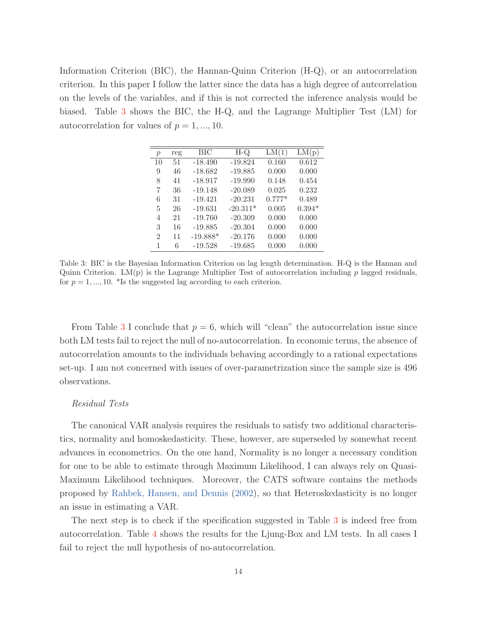Information Criterion (BIC), the Hannan-Quinn Criterion (H-Q), or an autocorrelation criterion. In this paper I follow the latter since the data has a high degree of autcorrelation on the levels of the variables, and if this is not corrected the inference analysis would be biased. Table 3 shows the BIC, the H-Q, and the Lagrange Multiplier Test (LM) for autocorrelation for values of  $p = 1, ..., 10$ .

| $\mathcal{p}$ | reg | BIC        | $H-O$      | LM(1)    | LM(p)    |
|---------------|-----|------------|------------|----------|----------|
| 10            | 51  | $-18.490$  | $-19.824$  | 0.160    | 0.612    |
| 9             | 46  | $-18.682$  | $-19.885$  | 0.000    | 0.000    |
| 8             | 41  | $-18.917$  | $-19.990$  | 0.148    | 0.454    |
| 7             | 36  | $-19.148$  | $-20.089$  | 0.025    | 0.232    |
| 6             | 31  | $-19.421$  | $-20.231$  | $0.777*$ | 0.489    |
| 5             | 26  | $-19.631$  | $-20.311*$ | 0.005    | $0.394*$ |
| 4             | 21  | $-19.760$  | $-20.309$  | 0.000    | 0.000    |
| 3             | 16  | $-19.885$  | $-20.304$  | 0.000    | 0.000    |
| 2             | 11  | $-19.888*$ | $-20.176$  | 0.000    | 0.000    |
| 1             | 6   | $-19.528$  | $-19.685$  | 0.000    | 0.000    |

Table 3: BIC is the Bayesian Information Criterion on lag length determination. H-Q is the Hannan and Quinn Criterion.  $LM(p)$  is the Lagrange Multiplier Test of autocorrelation including p lagged residuals, for  $p = 1, ..., 10$ . \*Is the suggested lag according to each criterion.

From Table 3 I conclude that  $p = 6$ , which will "clean" the autocorrelation issue since both LM tests fail to reject the null of no-autocorrelation. In economic terms, the absence of autocorrelation amounts to the individuals behaving accordingly to a rational expectations set-up. I am not concerned with issues of over-parametrization since the sample size is 496 observations.

#### Residual Tests

The canonical VAR analysis requires the residuals to satisfy two additional characteristics, normality and homoskedasticity. These, however, are superseded by somewhat recent advances in econometrics. On the one hand, Normality is no longer a necessary condition for one to be able to estimate through Maximum Likelihood, I can always rely on Quasi-Maximum Likelihood techniques. Moreover, the CATS software contains the methods proposed by Rahbek, Hansen, and Dennis (2002), so that Heteroskedasticity is no longer an issue in estimating a VAR.

The next step is to check if the specification suggested in Table 3 is indeed free from autocorrelation. Table 4 shows the results for the Ljung-Box and LM tests. In all cases I fail to reject the null hypothesis of no-autocorrelation.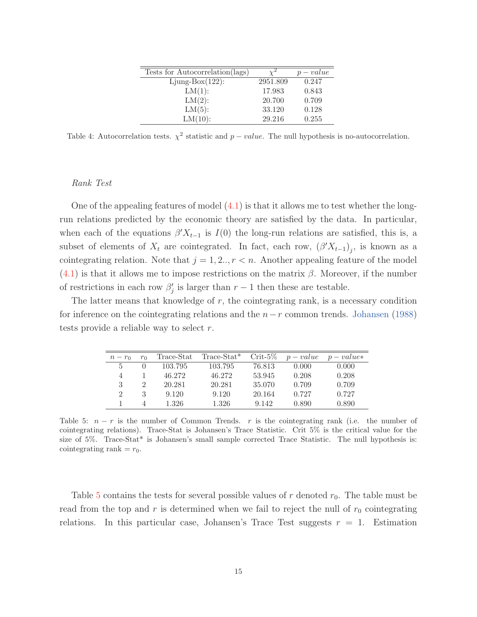|          | $p-value$ |
|----------|-----------|
| 2951.809 | 0.247     |
| 17.983   | 0.843     |
| 20.700   | 0.709     |
| 33.120   | 0.128     |
| 29.216   | 0.255     |
|          |           |

Table 4: Autocorrelation tests.  $\chi^2$  statistic and p – value. The null hypothesis is no-autocorrelation.

#### Rank Test

One of the appealing features of model  $(4.1)$  is that it allows me to test whether the longrun relations predicted by the economic theory are satisfied by the data. In particular, when each of the equations  $\beta' X_{t-1}$  is  $I(0)$  the long-run relations are satisfied, this is, a subset of elements of  $X_t$  are cointegrated. In fact, each row,  $(\beta'X_{t-1})_j$ , is known as a cointegrating relation. Note that  $j = 1, 2, ..., r < n$ . Another appealing feature of the model  $(4.1)$  is that it allows me to impose restrictions on the matrix  $\beta$ . Moreover, if the number of restrictions in each row  $\beta'_{j}$  is larger than  $r-1$  then these are testable.

The latter means that knowledge of  $r$ , the cointegrating rank, is a necessary condition for inference on the cointegrating relations and the  $n-r$  common trends. Johansen (1988) tests provide a reliable way to select r.

| $n-r_0$                     | $r_0$                       | Trace-Stat | $Trace-Stat^*$ | $Crit-5\%$ | $p-value$ | $p-value*$ |
|-----------------------------|-----------------------------|------------|----------------|------------|-----------|------------|
| ħ.                          |                             | 103.795    | 103.795        | 76.813     | 0.000     | 0.000      |
| 4                           |                             | 46.272     | 46.272         | 53.945     | 0.208     | 0.208      |
| 3                           | $\mathcal{D}_{\mathcal{L}}$ | 20.281     | 20.281         | 35.070     | 0.709     | 0.709      |
| $\mathcal{D}_{\mathcal{L}}$ | 3                           | 9.120      | 9.120          | 20.164     | 0.727     | 0.727      |
|                             |                             | 1.326      | 1.326          | 9.142      | 0.890     | 0.890      |

Table 5:  $n - r$  is the number of Common Trends. r is the cointegrating rank (i.e. the number of cointegrating relations). Trace-Stat is Johansen's Trace Statistic. Crit 5% is the critical value for the size of 5%. Trace-Stat\* is Johansen's small sample corrected Trace Statistic. The null hypothesis is: cointegrating rank  $=r_0$ .

Table 5 contains the tests for several possible values of r denoted  $r_0$ . The table must be read from the top and r is determined when we fail to reject the null of  $r_0$  cointegrating relations. In this particular case, Johansen's Trace Test suggests  $r = 1$ . Estimation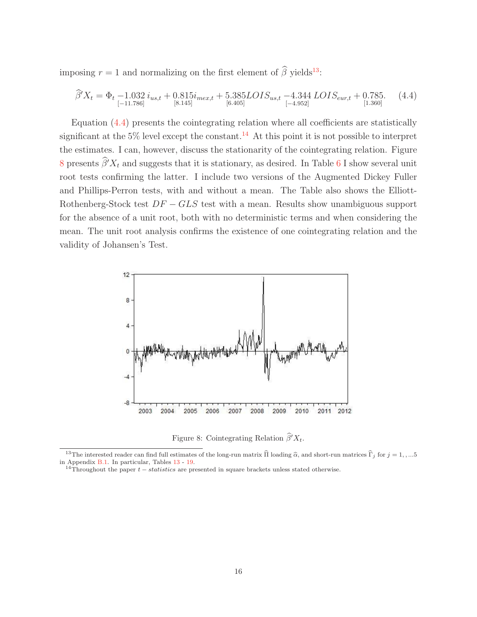imposing  $r = 1$  and normalizing on the first element of  $\hat{\beta}$  yields<sup>13</sup>:

$$
\widehat{\beta}'X_t = \Phi_t - 1.032 i_{us,t} + 0.815 i_{mex,t} + 5.385LOIS_{us,t} - 4.344 LOIS_{eur,t} + 0.785. \tag{4.4}
$$
\n
$$
_{[ -11.786 ]}^{[ -11.786 ]} \tag{4.4}
$$

Equation (4.4) presents the cointegrating relation where all coefficients are statistically significant at the  $5\%$  level except the constant.<sup>14</sup> At this point it is not possible to interpret the estimates. I can, however, discuss the stationarity of the cointegrating relation. Figure 8 presents  $\beta' X_t$  and suggests that it is stationary, as desired. In Table 6 I show several unit root tests confirming the latter. I include two versions of the Augmented Dickey Fuller and Phillips-Perron tests, with and without a mean. The Table also shows the Elliott-Rothenberg-Stock test  $DF - GLS$  test with a mean. Results show unambiguous support for the absence of a unit root, both with no deterministic terms and when considering the mean. The unit root analysis confirms the existence of one cointegrating relation and the validity of Johansen's Test.



Figure 8: Cointegrating Relation  $\hat{\beta}' X_t$ .<br>
stimates of the long-run matrix  $\hat{\Pi}$  loading  $\hat{\alpha}$ , a

Figure 8: Cointegrating Relation  $\hat{\beta}' X_t$ .<br><sup>13</sup>The interested reader can find full estimates of the long-run matrix  $\hat{\Pi}$  loading  $\hat{\alpha}$ , and short-run matrices  $\hat{\Gamma}_j$  for  $j = 1, ...5$ in Appendix B.1. In particular, Tables 13 - 19.

<sup>&</sup>lt;sup>14</sup>Throughout the paper  $t - statistics$  are presented in square brackets unless stated otherwise.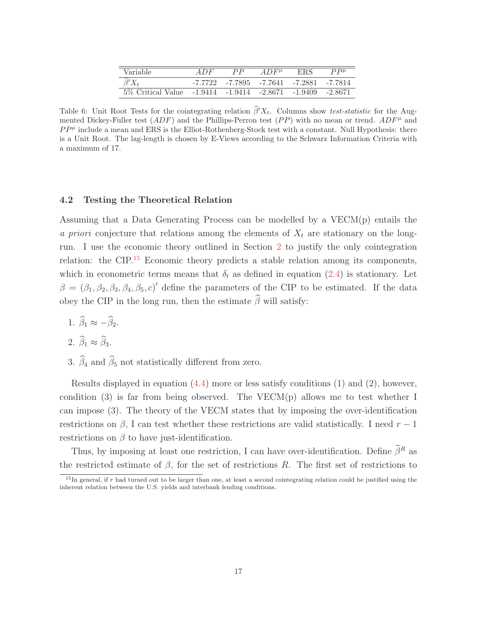| Variable           | 4 D F   | $_{PP}$ | $AD$ $F^{\mu}$                | ERS     | $P P^{\mu}$ |
|--------------------|---------|---------|-------------------------------|---------|-------------|
| $\beta' X_t$       | -7.7722 |         | -7.7895 -7.7641 -7.2881       |         | -7.7814     |
| 5\% Critical Value |         |         | $-1.9414$ $-1.9414$ $-2.8671$ | -1.9409 | -2.8671     |

Table 6: Unit Root Tests for the cointegrating relation  $\beta' X_t$ . Columns show test-statistic for the Augmented Dickey-Fuller test  $(ADF)$  and the Phillips-Perron test  $(PP)$  with no mean or trend.  $ADF^{\mu}$  and  $PP^{\mu}$  include a mean and ERS is the Elliot-Rothenberg-Stock test with a constant. Null Hypothesis: there is a Unit Root. The lag-length is chosen by E-Views according to the Schwarz Information Criteria with a maximum of 17.

#### **4.2 Testing the Theoretical Relation**

Assuming that a Data Generating Process can be modelled by a VECM(p) entails the a priori conjecture that relations among the elements of  $X_t$  are stationary on the longrun. I use the economic theory outlined in Section 2 to justify the only cointegration relation: the CIP.<sup>15</sup> Economic theory predicts a stable relation among its components, which in econometric terms means that  $\delta_t$  as defined in equation (2.4) is stationary. Let  $\beta = (\beta_1, \beta_2, \beta_3, \beta_4, \beta_5, c)'$  define the parameters of the CIP to be estimated. If the data obey the CIP in the long run, then the estimate  $\beta$  will satisfy:

1.  $\beta_1 \approx -\beta_2$ .

$$
2. \widehat{\beta}_1 \approx \widehat{\beta}_3.
$$

3.  $\beta_4$  and  $\beta_5$  not statistically different from zero.

Results displayed in equation  $(4.4)$  more or less satisfy conditions  $(1)$  and  $(2)$ , however, condition (3) is far from being observed. The VECM(p) allows me to test whether I can impose (3). The theory of the VECM states that by imposing the over-identification restrictions on  $\beta$ , I can test whether these restrictions are valid statistically. I need  $r-1$ restrictions on  $\beta$  to have just-identification.

Thus, by imposing at least one restriction, I can have over-identification. Define  $\beta^R$  as the restricted estimate of  $\beta$ , for the set of restrictions R. The first set of restrictions to

 $15$ In general, if r had turned out to be larger than one, at least a second cointegrating relation could be justified using the inherent relation between the U.S. yields and interbank lending conditions.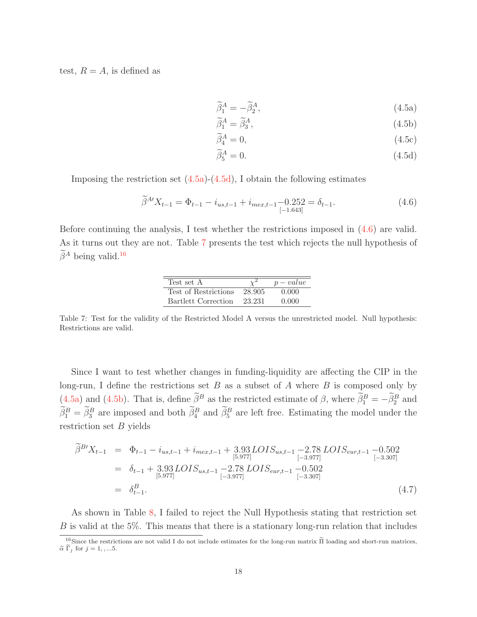test,  $R = A$ , is defined as

$$
\widetilde{\beta}_1^A = -\widetilde{\beta}_2^A,\tag{4.5a}
$$

$$
\widetilde{\beta}_1^A = \widetilde{\beta}_3^A,\tag{4.5b}
$$

$$
\widetilde{\beta}_4^A = 0,\tag{4.5c}
$$

$$
\widetilde{\beta}_5^A = 0. \tag{4.5d}
$$

Imposing the restriction set  $(4.5a)-(4.5d)$ , I obtain the following estimates

$$
\widetilde{\beta}^{A'} X_{t-1} = \Phi_{t-1} - i_{us,t-1} + i_{mex,t-1} - 0.252 = \delta_{t-1}.
$$
\n(4.6)

Before continuing the analysis, I test whether the restrictions imposed in (4.6) are valid. As it turns out they are not. Table 7 presents the test which rejects the null hypothesis of  $\tilde{\beta}^A$  being valid.<sup>16</sup>

| Test set A           |        | $p-value$ |
|----------------------|--------|-----------|
| Test of Restrictions | 28.905 | 0.000     |
| Bartlett Correction  | 23.231 | 0.000     |

Table 7: Test for the validity of the Restricted Model A versus the unrestricted model. Null hypothesis: Restrictions are valid.

Since I want to test whether changes in funding-liquidity are affecting the CIP in the long-run, I define the restrictions set  $B$  as a subset of  $A$  where  $B$  is composed only by (4.5a) and (4.5b). That is, define  $\beta^B$  as the restricted estimate of  $\beta$ , where  $\beta_1^B = -\beta_2^B$  and  $\beta_1^B = \beta_3^B$  are imposed and both  $\beta_4^B$  and  $\beta_5^B$  are left free. Estimating the model under the restriction set  $B$  yields

$$
\tilde{\beta}^{B'}X_{t-1} = \Phi_{t-1} - i_{us,t-1} + i_{mex,t-1} + 3.93\text{LOIS}_{us,t-1} - 2.78\text{LOIS}_{eur,t-1} - 0.502
$$
\n
$$
= \delta_{t-1} + 3.93\text{LOIS}_{us,t-1} - 2.78\text{LOIS}_{eur,t-1} - 0.502
$$
\n
$$
= \delta_{t-1} + 3.93\text{LOIS}_{us,t-1} - 2.78\text{LOIS}_{eur,t-1} - 0.502
$$
\n
$$
= \delta_{t-1}^{B}.
$$
\n(4.7)

As shown in Table 8, I failed to reject the Null Hypothesis stating that restriction set B is valid at the 5%. This means that there is a stationary long-run relation that includes  $\frac{16}{16}$  includes  $\frac{1}{16}$  and  $\frac{1}{16}$  and  $\frac{1}{16}$  and  $\frac{1}{16}$  and  $\frac{1}{16}$  and  $\frac{1}{16}$  and  $\frac{1}{16}$  and  $\frac$ 

<sup>&</sup>lt;sup>16</sup>Since the restrictions are not valid I do not include estimates for the long-run matrix  $\tilde{\Pi}$  loading and short-run matrices,  $\tilde{\alpha} \tilde{\Gamma}_j$  for  $j = 1, ..., 5$ .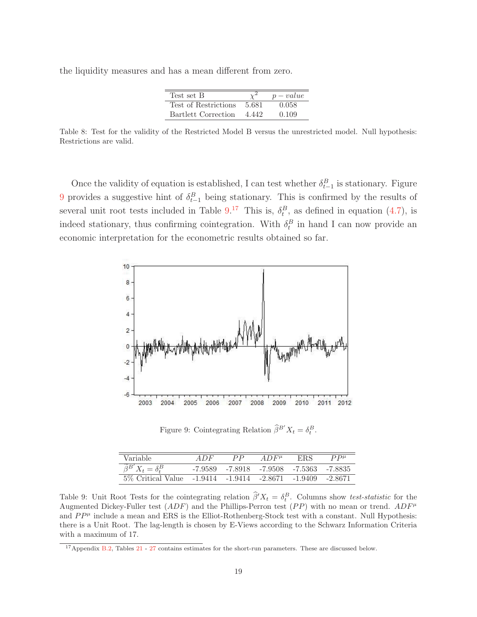the liquidity measures and has a mean different from zero.

| Test set B           |       | $p-value$ |
|----------------------|-------|-----------|
| Test of Restrictions | 5.681 | 0.058     |
| Bartlett Correction  | 4 442 | 0.109     |

Table 8: Test for the validity of the Restricted Model B versus the unrestricted model. Null hypothesis: Restrictions are valid.

Once the validity of equation is established, I can test whether  $\delta_{t-1}^B$  is stationary. Figure 9 provides a suggestive hint of  $\delta_{t-1}^B$  being stationary. This is confirmed by the results of several unit root tests included in Table  $9.^{17}$  This is,  $\delta_t^B$ , as defined in equation (4.7), is indeed stationary, thus confirming cointegration. With  $\delta_t^B$  in hand I can now provide an economic interpretation for the econometric results obtained so far.



Figure 9: Cointegrating Relation  $\widehat{\beta}^{B'} X_t = \delta_t^B$ .

| Variable                                  | ADF     | PP | $AD$ $F^{\mu}$                          | <b>ERS</b> | $P P^{\mu}$ |
|-------------------------------------------|---------|----|-----------------------------------------|------------|-------------|
| $\widetilde{\beta}^{B'} X_t = \delta_t^B$ | -7.9589 |    | -7.8918 -7.9508 -7.5363 -7.8835         |            |             |
| 5\% Critical Value                        |         |    | $-1.9414$ $-1.9414$ $-2.8671$ $-1.9409$ |            | -2.8671     |

Table 9: Unit Root Tests for the cointegrating relation  $\beta'X_t = \delta_t^B$ . Columns show test-statistic for the Augmented Dickey-Fuller test  $(ADF)$  and the Phillips-Perron test  $(PP)$  with no mean or trend.  $ADF^{\mu}$ and  $PP^{\mu}$  include a mean and ERS is the Elliot-Rothenberg-Stock test with a constant. Null Hypothesis: there is a Unit Root. The lag-length is chosen by E-Views according to the Schwarz Information Criteria with a maximum of 17.

<sup>&</sup>lt;sup>17</sup>Appendix B.2, Tables 21 - 27 contains estimates for the short-run parameters. These are discussed below.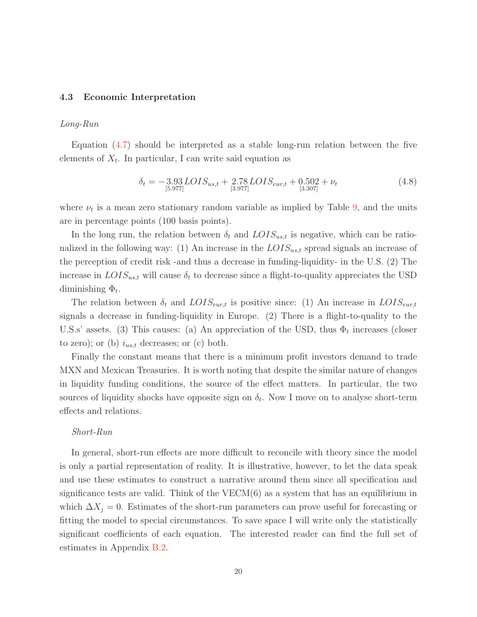#### **4.3 Economic Interpretation**

#### Long-Run

Equation (4.7) should be interpreted as a stable long-run relation between the five elements of  $X_t$ . In particular, I can write said equation as

$$
\delta_t = -3.93 \, LOIS_{us,t} + 2.78 \, LOIS_{eur,t} + 0.502 + \nu_t
$$
\n
$$
[3.977] \tag{4.8}
$$

where  $\nu_t$  is a mean zero stationary random variable as implied by Table 9, and the units are in percentage points (100 basis points).

In the long run, the relation between  $\delta_t$  and  $LOIS_{us,t}$  is negative, which can be rationalized in the following way: (1) An increase in the  $LOIS_{ust}$  spread signals an increase of the perception of credit risk -and thus a decrease in funding-liquidity- in the U.S. (2) The increase in  $LOIS_{us,t}$  will cause  $\delta_t$  to decrease since a flight-to-quality appreciates the USD diminishing  $\Phi_t$ .

The relation between  $\delta_t$  and  $LOIS_{\text{cur},t}$  is positive since: (1) An increase in  $LOIS_{\text{cur},t}$ signals a decrease in funding-liquidity in Europe. (2) There is a flight-to-quality to the U.S.s' assets. (3) This causes: (a) An appreciation of the USD, thus  $\Phi_t$  increases (closer to zero); or (b)  $i_{us,t}$  decreases; or (c) both.

Finally the constant means that there is a minimum profit investors demand to trade MXN and Mexican Treasuries. It is worth noting that despite the similar nature of changes in liquidity funding conditions, the source of the effect matters. In particular, the two sources of liquidity shocks have opposite sign on  $\delta_t$ . Now I move on to analyse short-term effects and relations.

#### Short-Run

In general, short-run effects are more difficult to reconcile with theory since the model is only a partial representation of reality. It is illustrative, however, to let the data speak and use these estimates to construct a narrative around them since all specification and significance tests are valid. Think of the  $VECM(6)$  as a system that has an equilibrium in which  $\Delta X_j = 0$ . Estimates of the short-run parameters can prove useful for forecasting or fitting the model to special circumstances. To save space I will write only the statistically significant coefficients of each equation. The interested reader can find the full set of estimates in Appendix B.2.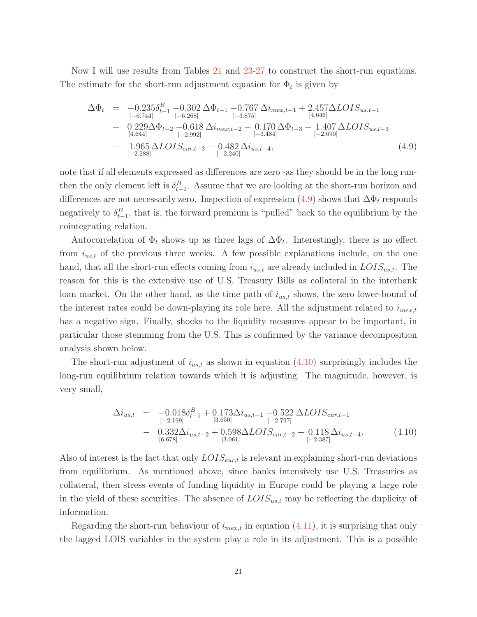Now I will use results from Tables 21 and 23-27 to construct the short-run equations. The estimate for the short-run adjustment equation for  $\Phi_t$  is given by

$$
\Delta \Phi_t = -0.235 \delta_{t-1}^B - 0.302 \Delta \Phi_{t-1} - 0.767 \Delta i_{mex,t-1} + 2.457 \Delta LOIS_{us,t-1} \n- 0.229 \Delta \Phi_{t-2} - 0.618 \Delta i_{mex,t-2} - 0.170 \Delta \Phi_{t-3} - 1.407 \Delta LOIS_{us,t-3} \n- 1.965 \Delta LOIS_{eur,t-3} - 0.482 \Delta i_{us,t-4}, \n- 1.965 \Delta LOIS_{eur,t-3} - 0.482 \Delta i_{us,t-4},
$$
\n(4.9)

note that if all elements expressed as differences are zero -as they should be in the long runthen the only element left is  $\delta_{t-1}^B$ . Assume that we are looking at the short-run horizon and differences are not necessarily zero. Inspection of expression  $(4.9)$  shows that  $\Delta \Phi_t$  responds negatively to  $\delta_{t-1}^B$ , that is, the forward premium is "pulled" back to the equilibrium by the cointegrating relation.

Autocorrelation of  $\Phi_t$  shows up as three lags of  $\Delta \Phi_t$ . Interestingly, there is no effect from  $i_{us,t}$  of the previous three weeks. A few possible explanations include, on the one hand, that all the short-run effects coming from  $i_{us,t}$  are already included in  $LOIS_{us,t}$ . The reason for this is the extensive use of U.S. Treasury Bills as collateral in the interbank loan market. On the other hand, as the time path of  $i_{us,t}$  shows, the zero lower-bound of the interest rates could be down-playing its role here. All the adjustment related to  $i_{mex,t}$ has a negative sign. Finally, shocks to the liquidity measures appear to be important, in particular those stemming from the U.S. This is confirmed by the variance decomposition analysis shown below.

The short-run adjustment of  $i_{us,t}$  as shown in equation  $(4.10)$  surprisingly includes the long-run equilibrium relation towards which it is adjusting. The magnitude, however, is very small,

$$
\Delta i_{us,t} = -0.018 \delta_{t-1}^{B} + 0.173 \Delta i_{us,t-1} - 0.522 \Delta LOIS_{eur,t-1}
$$
  
\n
$$
- 0.332 \Delta i_{us,t-2} + 0.598 \Delta LOIS_{eur,t-2} - 0.118 \Delta i_{us,t-4}.
$$
  
\n
$$
- 0.332 \Delta i_{us,t-2} + 0.598 \Delta LOIS_{eur,t-2} - 0.118 \Delta i_{us,t-4}.
$$
  
\n(4.10)

Also of interest is the fact that only  $LOIS_{\text{eur},t}$  is relevant in explaining short-run deviations from equilibrium. As mentioned above, since banks intensively use U.S. Treasuries as collateral, then stress events of funding liquidity in Europe could be playing a large role in the yield of these securities. The absence of  $LOIS_{ust}$  may be reflecting the duplicity of information.

Regarding the short-run behaviour of  $i_{mex,t}$  in equation  $(4.11)$ , it is surprising that only the lagged LOIS variables in the system play a role in its adjustment. This is a possible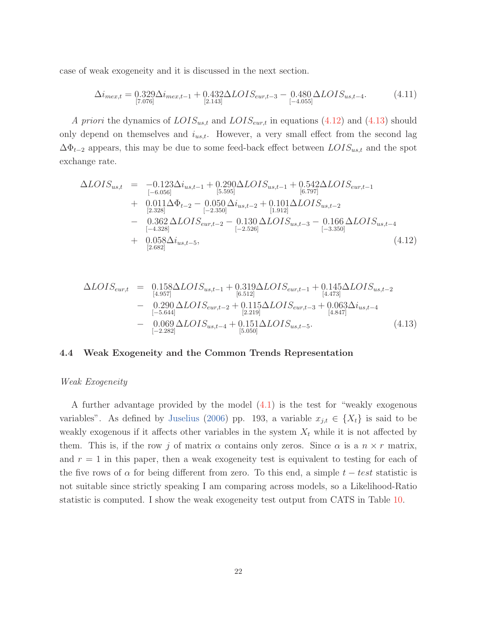case of weak exogeneity and it is discussed in the next section.

$$
\Delta i_{mex,t} = 0.329 \Delta i_{mex,t-1} + 0.432 \Delta LOIS_{eur,t-3} - 0.480 \Delta LOIS_{us,t-4}.
$$
\n(4.11)

A priori the dynamics of  $LOIS_{us,t}$  and  $LOIS_{eur,t}$  in equations (4.12) and (4.13) should only depend on themselves and  $i_{us,t}$ . However, a very small effect from the second lag  $\Delta\Phi_{t-2}$  appears, this may be due to some feed-back effect between  $LOIS_{us,t}$  and the spot exchange rate.

$$
\Delta LOIS_{us,t} = -0.123\Delta i_{us,t-1} + 0.290\Delta LOIS_{us,t-1} + 0.542\Delta LOIS_{eur,t-1} \n+ 0.011\Delta \Phi_{t-2} - 0.050\Delta i_{us,t-2} + 0.101\Delta LOIS_{us,t-2} \n+ 0.362\Delta LOIS_{eur,t-2} - 0.130\Delta LOIS_{us,t-3} - 0.166\Delta LOIS_{us,t-4} \n- 0.362\Delta LOIS_{eur,t-2} - 0.130\Delta LOIS_{us,t-3} - 0.166\Delta LOIS_{us,t-4} \n+ 0.058\Delta i_{us,t-5},
$$
\n(4.12)

$$
\Delta LOIS_{eur,t} = 0.158 \Delta LOIS_{us,t-1} + 0.319 \Delta LOIS_{eur,t-1} + 0.145 \Delta LOIS_{us,t-2} \n- 0.290 \Delta LOIS_{eur,t-2} + 0.115 \Delta LOIS_{eur,t-3} + 0.063 \Delta i_{us,t-4} \n- 0.069 \Delta LOIS_{us,t-4} + 0.151 \Delta LOIS_{us,t-5}.
$$
\n(4.13)

#### **4.4 Weak Exogeneity and the Common Trends Representation**

#### Weak Exogeneity

A further advantage provided by the model (4.1) is the test for "weakly exogenous variables". As defined by Juselius (2006) pp. 193, a variable  $x_{j,t} \in \{X_t\}$  is said to be weakly exogenous if it affects other variables in the system  $X_t$  while it is not affected by them. This is, if the row j of matrix  $\alpha$  contains only zeros. Since  $\alpha$  is a  $n \times r$  matrix, and  $r = 1$  in this paper, then a weak exogeneity test is equivalent to testing for each of the five rows of  $\alpha$  for being different from zero. To this end, a simple  $t - test$  statistic is not suitable since strictly speaking I am comparing across models, so a Likelihood-Ratio statistic is computed. I show the weak exogeneity test output from CATS in Table 10.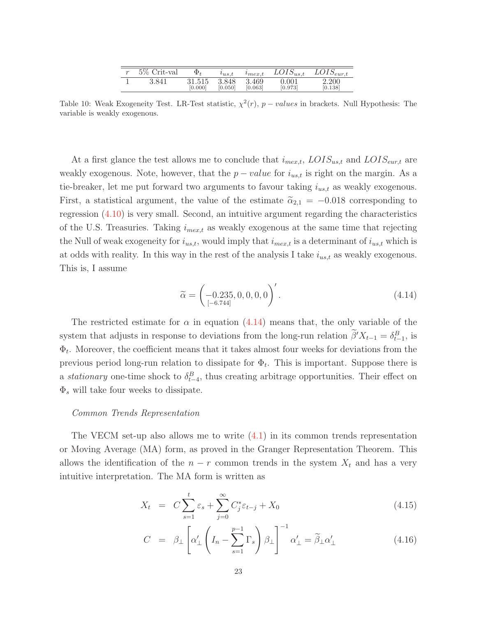| $\sim$ | $5\%$<br>Crit-val | Φ,                | $\iota_{us.t}$   | $m$ ex.t         | $LOIS_{us,t}$        | $LOIS_{eur,t}$   |
|--------|-------------------|-------------------|------------------|------------------|----------------------|------------------|
|        | 3.841             | 31.515<br>[0.000] | 3.848<br>[0.050] | 3.469<br>[0.063] | $0.001\,$<br>[0.973] | 2.200<br>[0.138] |
|        |                   |                   |                  |                  |                      |                  |

Table 10: Weak Exogeneity Test. LR-Test statistic,  $\chi^2(r)$ , p – values in brackets. Null Hypothesis: The variable is weakly exogenous.

At a first glance the test allows me to conclude that  $i_{max,t}$ ,  $LOIS_{ust}$  and  $LOIS_{eur,t}$  are weakly exogenous. Note, however, that the  $p-value$  for  $i_{us,t}$  is right on the margin. As a tie-breaker, let me put forward two arguments to favour taking  $i_{us,t}$  as weakly exogenous. First, a statistical argument, the value of the estimate  $\tilde{\alpha}_{2,1} = -0.018$  corresponding to regression (4.10) is very small. Second, an intuitive argument regarding the characteristics of the U.S. Treasuries. Taking  $i_{mex,t}$  as weakly exogenous at the same time that rejecting the Null of weak exogeneity for  $i_{us,t}$ , would imply that  $i_{max,t}$  is a determinant of  $i_{us,t}$  which is at odds with reality. In this way in the rest of the analysis I take  $i_{us,t}$  as weakly exogenous. This is, I assume

$$
\widetilde{\alpha} = \begin{pmatrix} -0.235, 0, 0, 0, 0 \end{pmatrix}'.
$$
\n(4.14)

The restricted estimate for  $\alpha$  in equation (4.14) means that, the only variable of the system that adjusts in response to deviations from the long-run relation  $\hat{\beta}'X_{t-1} = \delta_{t-1}^B$ , is  $\Phi_t$ . Moreover, the coefficient means that it takes almost four weeks for deviations from the previous period long-run relation to dissipate for  $\Phi_t$ . This is important. Suppose there is a *stationary* one-time shock to  $\delta_{t-4}^B$ , thus creating arbitrage opportunities. Their effect on  $\Phi_s$  will take four weeks to dissipate.

#### Common Trends Representation

The VECM set-up also allows me to write  $(4.1)$  in its common trends representation or Moving Average (MA) form, as proved in the Granger Representation Theorem. This allows the identification of the  $n - r$  common trends in the system  $X_t$  and has a very intuitive interpretation. The MA form is written as

$$
X_t = C \sum_{s=1}^t \varepsilon_s + \sum_{j=0}^\infty C_j^* \varepsilon_{t-j} + X_0 \tag{4.15}
$$

$$
C = \beta_{\perp} \left[ \alpha'_{\perp} \left( I_n - \sum_{s=1}^{p-1} \Gamma_s \right) \beta_{\perp} \right]^{-1} \alpha'_{\perp} = \widetilde{\beta}_{\perp} \alpha'_{\perp}
$$
 (4.16)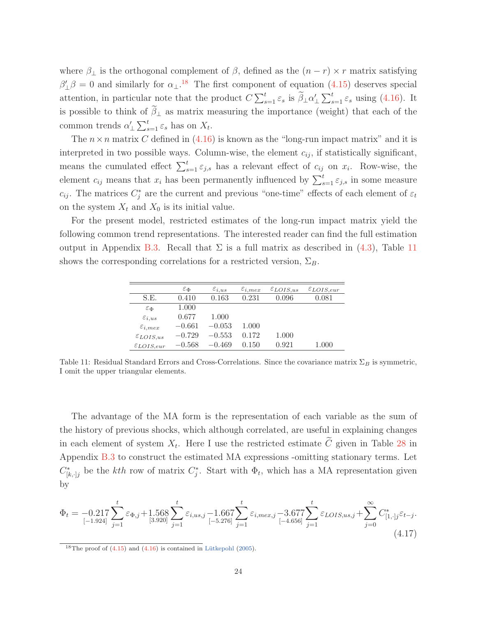where  $\beta_{\perp}$  is the orthogonal complement of  $\beta$ , defined as the  $(n - r) \times r$  matrix satisfying  $\beta'_{\perp}\beta = 0$  and similarly for  $\alpha_{\perp}$ .<sup>18</sup> The first component of equation (4.15) deserves special attention, in particular note that the product  $C \sum_{s=1}^{t} \varepsilon_s$  is  $\tilde{\beta}_\perp \alpha'_\perp \sum_{s=1}^{t} \varepsilon_s$  using (4.16). It is possible to think of  $\beta_{\perp}$  as matrix measuring the importance (weight) that each of the common trends  $\alpha'_{\perp} \sum_{s=1}^{t} \varepsilon_s$  has on  $X_t$ .

The  $n \times n$  matrix C defined in (4.16) is known as the "long-run impact matrix" and it is interpreted in two possible ways. Column-wise, the element  $c_{ij}$ , if statistically significant, means the cumulated effect  $\sum_{s=1}^{t} \varepsilon_{j,s}$  has a relevant effect of  $c_{ij}$  on  $x_i$ . Row-wise, the element  $c_{ij}$  means that  $x_i$  has been permanently influenced by  $\sum_{s=1}^{t} \varepsilon_{j,s}$  in some measure  $c_{ij}$ . The matrices  $C_j^*$  are the current and previous "one-time" effects of each element of  $\varepsilon_t$ on the system  $X_t$  and  $X_0$  is its initial value.

For the present model, restricted estimates of the long-run impact matrix yield the following common trend representations. The interested reader can find the full estimation output in Appendix B.3. Recall that  $\Sigma$  is a full matrix as described in (4.3), Table 11 shows the corresponding correlations for a restricted version,  $\Sigma_B$ .

|                         | $\varepsilon_{\Phi}$ | $\varepsilon_{i,us}$ | $\varepsilon_{i, max}$ | $\epsilon_{LOIS,us}$ | $\epsilon_{LOIS,eur}$ |
|-------------------------|----------------------|----------------------|------------------------|----------------------|-----------------------|
| S.E.                    | 0.410                | 0.163                | 0.231                  | 0.096                | 0.081                 |
| $\varepsilon_{\Phi}$    | 1.000                |                      |                        |                      |                       |
| $\varepsilon_{i,us}$    | 0.677                | 1.000                |                        |                      |                       |
| $\varepsilon_{i, max}$  | $-0.661$             | $-0.053$             | 1.000                  |                      |                       |
| $\varepsilon_{LOIS,us}$ | $-0.729$             | $-0.553$             | 0.172                  | 1.000                |                       |
| $\epsilon_{LOIS,eur}$   | $-0.568$             | $-0.469$             | 0.150                  | 0.921                | $1.000\,$             |

Table 11: Residual Standard Errors and Cross-Correlations. Since the covariance matrix  $\Sigma_B$  is symmetric, I omit the upper triangular elements.

The advantage of the MA form is the representation of each variable as the sum of the history of previous shocks, which although correlated, are useful in explaining changes in each element of system  $X_t$ . Here I use the restricted estimate  $\tilde{C}$  given in Table 28 in Appendix B.3 to construct the estimated MA expressions -omitting stationary terms. Let  $C^*_{[k,\cdot]j}$  be the kth row of matrix  $C^*_j$ . Start with  $\Phi_t$ , which has a MA representation given by

$$
\Phi_{t} = -0.217 \sum_{\substack{[-1.924] \\ j=1}}^{t} \varepsilon_{\Phi,j} + 1.568 \sum_{\substack{[3.920] \\ j=1}}^{t} \varepsilon_{i,us,j} - 1.667 \sum_{\substack{[-5.276] \\ j=1}}^{t} \varepsilon_{i,mex,j} - 3.677 \sum_{\substack{[-4.656] \\ j=1}}^{t} \varepsilon_{LOIS,us,j} + \sum_{j=0}^{\infty} C_{[1,\cdot]j}^{*} \varepsilon_{t-j}.
$$
\n
$$
(4.17)
$$

 $18$ The proof of  $(4.15)$  and  $(4.16)$  is contained in Lütkepohl  $(2005)$ .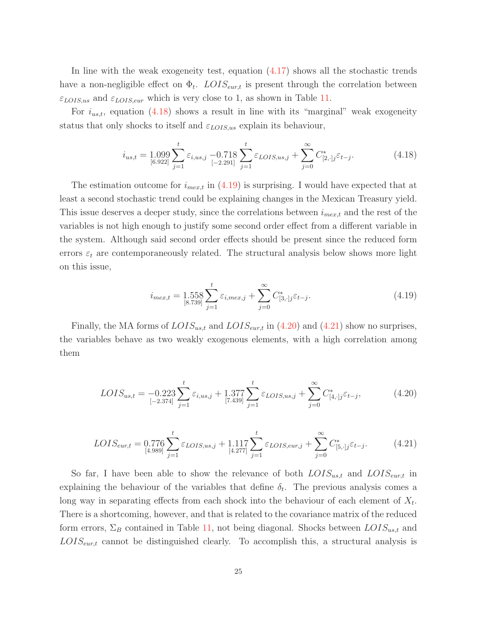In line with the weak exogeneity test, equation (4.17) shows all the stochastic trends have a non-negligible effect on  $\Phi_t$ . LOIS<sub>eur,t</sub> is present through the correlation between  $\varepsilon_{LOIS,us}$  and  $\varepsilon_{LOIS,eur}$  which is very close to 1, as shown in Table 11.

For  $i_{us,t}$ , equation (4.18) shows a result in line with its "marginal" weak exogeneity status that only shocks to itself and  $\varepsilon_{LOIS,us}$  explain its behaviour,

$$
i_{us,t} = 1.099 \sum_{[6.922]}^{t} \varepsilon_{i,us,j} - 0.718 \sum_{[-2.291]}^{t} \varepsilon_{LOIS,us,j} + \sum_{j=0}^{\infty} C_{[2,\cdot]j}^{*} \varepsilon_{t-j}.
$$
 (4.18)

The estimation outcome for  $i_{mex,t}$  in (4.19) is surprising. I would have expected that at least a second stochastic trend could be explaining changes in the Mexican Treasury yield. This issue deserves a deeper study, since the correlations between  $i_{mex,t}$  and the rest of the variables is not high enough to justify some second order effect from a different variable in the system. Although said second order effects should be present since the reduced form errors  $\varepsilon_t$  are contemporaneously related. The structural analysis below shows more light on this issue,

$$
i_{mex,t} = 1.558 \sum_{[8.739]}^{t} \varepsilon_{i, max, j} + \sum_{j=0}^{\infty} C_{[3, \cdot]j}^{*} \varepsilon_{t-j}.
$$
 (4.19)

Finally, the MA forms of  $LOIS_{us,t}$  and  $LOIS_{eur,t}$  in (4.20) and (4.21) show no surprises, the variables behave as two weakly exogenous elements, with a high correlation among them

$$
LOIS_{us,t} = -0.223 \sum_{[ -2.374 ]}^{t} \varepsilon_{i,us,j} + 1.377 \sum_{[7.439 ]}^{t} \varepsilon_{LOIS,us,j} + \sum_{j=0}^{\infty} C_{[4,\cdot]j}^{*} \varepsilon_{t-j}, \tag{4.20}
$$

$$
LOIS_{eur,t} = 0.776 \sum_{[4.989]}^{t} \varepsilon_{LOIS,us,j} + 1.117 \sum_{[4.277]}^{t} \varepsilon_{LOIS,eur,j} + \sum_{j=0}^{\infty} C_{[5,\cdot]j}^{*} \varepsilon_{t-j}.
$$
 (4.21)

So far, I have been able to show the relevance of both  $LOIS_{us,t}$  and  $LOIS_{eur,t}$  in explaining the behaviour of the variables that define  $\delta_t$ . The previous analysis comes a long way in separating effects from each shock into the behaviour of each element of  $X_t$ . There is a shortcoming, however, and that is related to the covariance matrix of the reduced form errors,  $\Sigma_B$  contained in Table 11, not being diagonal. Shocks between  $LOIS_{us,t}$  and  $LOIS_{\text{eur},t}$  cannot be distinguished clearly. To accomplish this, a structural analysis is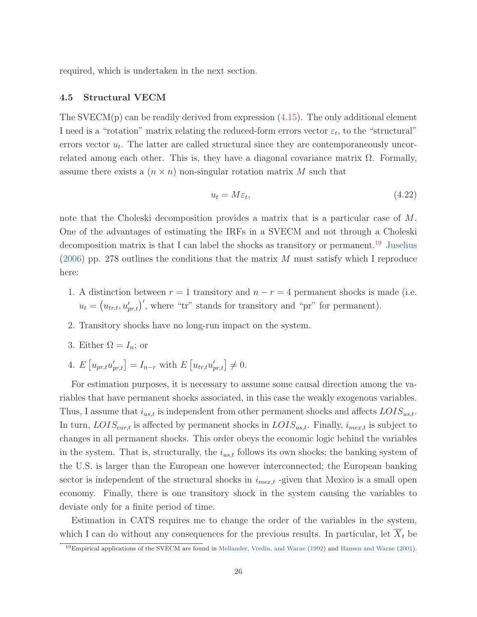required, which is undertaken in the next section.

#### **4.5 Structural VECM**

The SVECM(p) can be readily derived from expression  $(4.15)$ . The only additional element I need is a "rotation" matrix relating the reduced-form errors vector  $\varepsilon_t$ , to the "structural" errors vector  $u_t$ . The latter are called structural since they are contemporaneously uncorrelated among each other. This is, they have a diagonal covariance matrix  $\Omega$ . Formally, assume there exists a  $(n \times n)$  non-singular rotation matrix M such that

$$
u_t = M\varepsilon_t,\tag{4.22}
$$

note that the Choleski decomposition provides a matrix that is a particular case of M. One of the advantages of estimating the IRFs in a SVECM and not through a Choleski decomposition matrix is that I can label the shocks as transitory or permanent.<sup>19</sup> Juselius  $(2006)$  pp. 278 outlines the conditions that the matrix M must satisfy which I reproduce here:

- 1. A distinction between  $r = 1$  transitory and  $n r = 4$  permanent shocks is made (i.e.  $u_t = (u_{tr,t}, u'_{pr,t})'$ , where "tr" stands for transitory and "pr" for permanent).
- 2. Transitory shocks have no long-run impact on the system.
- 3. Either  $\Omega = I_n$ ; or
- 4.  $E[u_{pr,t}u'_{pr,t}] = I_{n-r}$  with  $E[u_{tr,t}u'_{pr,t}] \neq 0$ .

For estimation purposes, it is necessary to assume some causal direction among the variables that have permanent shocks associated, in this case the weakly exogenous variables. Thus, I assume that  $i_{us,t}$  is independent from other permanent shocks and affects  $\text{LOIS}_{us,t}$ . In turn,  $LOIS_{\text{eur},t}$  is affected by permanent shocks in  $LOIS_{us,t}$ . Finally,  $i_{\text{mer},t}$  is subject to changes in all permanent shocks. This order obeys the economic logic behind the variables in the system. That is, structurally, the  $i_{us,t}$  follows its own shocks; the banking system of the U.S. is larger than the European one however interconnected; the European banking sector is independent of the structural shocks in  $i_{mex,t}$  -given that Mexico is a small open economy. Finally, there is one transitory shock in the system causing the variables to deviate only for a finite period of time.

Estimation in CATS requires me to change the order of the variables in the system, which I can do without any consequences for the previous results. In particular, let  $X_t$  be

<sup>19</sup>Empirical applications of the SVECM are found in Mellander, Vredin, and Warne (1992) and Hansen and Warne (2001).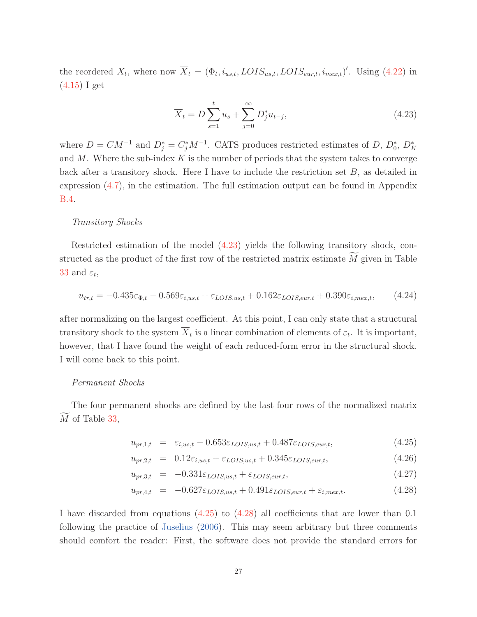the reordered  $X_t$ , where now  $\overline{X}_t = (\Phi_t, i_{us,t}, LOIS_{us,t}, LOIS_{eur,t}, i_{max,t})'$ . Using (4.22) in (4.15) I get

$$
\overline{X}_t = D \sum_{s=1}^t u_s + \sum_{j=0}^\infty D_j^* u_{t-j},
$$
\n(4.23)

where  $D = CM^{-1}$  and  $D_j^* = C_j^* M^{-1}$ . CATS produces restricted estimates of D,  $D_0^*$ ,  $D_K^*$ and  $M$ . Where the sub-index  $K$  is the number of periods that the system takes to converge back after a transitory shock. Here I have to include the restriction set  $B$ , as detailed in expression (4.7), in the estimation. The full estimation output can be found in Appendix B.4.

#### Transitory Shocks

Restricted estimation of the model (4.23) yields the following transitory shock, constructed as the product of the first row of the restricted matrix estimate  $M$  given in Table 33 and  $\varepsilon_t$ ,

$$
u_{tr,t} = -0.435\varepsilon_{\Phi,t} - 0.569\varepsilon_{i,us,t} + \varepsilon_{LOIS,us,t} + 0.162\varepsilon_{LOIS,eur,t} + 0.390\varepsilon_{i,mex,t},\tag{4.24}
$$

after normalizing on the largest coefficient. At this point, I can only state that a structural transitory shock to the system  $\overline{X}_t$  is a linear combination of elements of  $\varepsilon_t$ . It is important, however, that I have found the weight of each reduced-form error in the structural shock. I will come back to this point.

#### Permanent Shocks

The four permanent shocks are defined by the last four rows of the normalized matrix M of Table 33,

$$
u_{pr,1,t} = \varepsilon_{i,us,t} - 0.653 \varepsilon_{LOIS,us,t} + 0.487 \varepsilon_{LOIS,eur,t}, \qquad (4.25)
$$

$$
u_{pr,2,t} = 0.12\varepsilon_{i,us,t} + \varepsilon_{LOIS,us,t} + 0.345\varepsilon_{LOIS,eur,t}, \qquad (4.26)
$$

$$
u_{pr,3,t} = -0.331\varepsilon_{LOIS,us,t} + \varepsilon_{LOIS,eur,t},\tag{4.27}
$$

$$
u_{pr,4,t} = -0.627\varepsilon_{LOIS,us,t} + 0.491\varepsilon_{LOIS,eur,t} + \varepsilon_{i, mex,t}.
$$
\n(4.28)

I have discarded from equations (4.25) to (4.28) all coefficients that are lower than 0.1 following the practice of Juselius (2006). This may seem arbitrary but three comments should comfort the reader: First, the software does not provide the standard errors for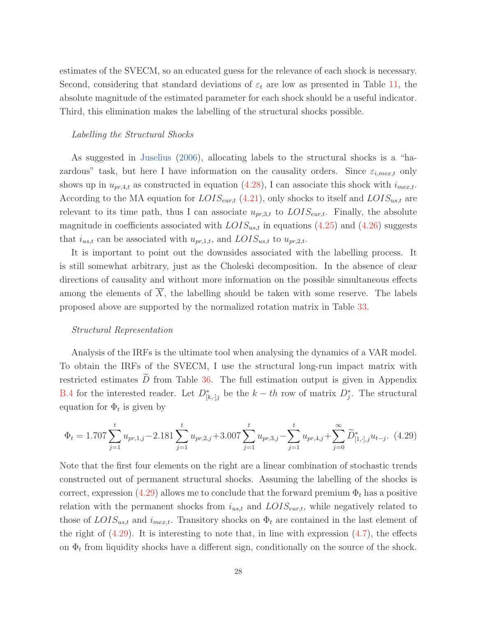estimates of the SVECM, so an educated guess for the relevance of each shock is necessary. Second, considering that standard deviations of  $\varepsilon_t$  are low as presented in Table 11, the absolute magnitude of the estimated parameter for each shock should be a useful indicator. Third, this elimination makes the labelling of the structural shocks possible.

#### Labelling the Structural Shocks

As suggested in Juselius (2006), allocating labels to the structural shocks is a "hazardous" task, but here I have information on the causality orders. Since  $\varepsilon_{i, max, t}$  only shows up in  $u_{pr,4,t}$  as constructed in equation (4.28), I can associate this shock with  $i_{mex,t}$ . According to the MA equation for  $LOIS_{\text{eur},t}$  (4.21), only shocks to itself and  $LOIS_{\text{us},t}$  are relevant to its time path, thus I can associate  $u_{pr,3,t}$  to  $LOIS_{\text{cur},t}$ . Finally, the absolute magnitude in coefficients associated with  $LOIS_{us,t}$  in equations (4.25) and (4.26) suggests that  $i_{us,t}$  can be associated with  $u_{pr,1,t}$ , and  $LOIS_{us,t}$  to  $u_{pr,2,t}$ .

It is important to point out the downsides associated with the labelling process. It is still somewhat arbitrary, just as the Choleski decomposition. In the absence of clear directions of causality and without more information on the possible simultaneous effects among the elements of  $X$ , the labelling should be taken with some reserve. The labels proposed above are supported by the normalized rotation matrix in Table 33.

#### Structural Representation

Analysis of the IRFs is the ultimate tool when analysing the dynamics of a VAR model. To obtain the IRFs of the SVECM, I use the structural long-run impact matrix with restricted estimates  $\tilde{D}$  from Table 36. The full estimation output is given in Appendix B.4 for the interested reader. Let  $D^*_{[k,\cdot],j}$  be the  $k-th$  row of matrix  $D^*_j$ . The structural equation for  $\Phi_t$  is given by

$$
\Phi_t = 1.707 \sum_{j=1}^t u_{pr,1,j} - 2.181 \sum_{j=1}^t u_{pr,2,j} + 3.007 \sum_{j=1}^t u_{pr,3,j} - \sum_{j=1}^t u_{pr,4,j} + \sum_{j=0}^\infty \widetilde{D}_{[1,\cdot],j}^* u_{t-j}.
$$
 (4.29)

Note that the first four elements on the right are a linear combination of stochastic trends constructed out of permanent structural shocks. Assuming the labelling of the shocks is correct, expression (4.29) allows me to conclude that the forward premium  $\Phi_t$  has a positive relation with the permanent shocks from  $i_{us,t}$  and  $LOIS_{eur,t}$ , while negatively related to those of  $LOIS_{ust}$  and  $i_{max,t}$ . Transitory shocks on  $\Phi_t$  are contained in the last element of the right of  $(4.29)$ . It is interesting to note that, in line with expression  $(4.7)$ , the effects on  $\Phi_t$  from liquidity shocks have a different sign, conditionally on the source of the shock.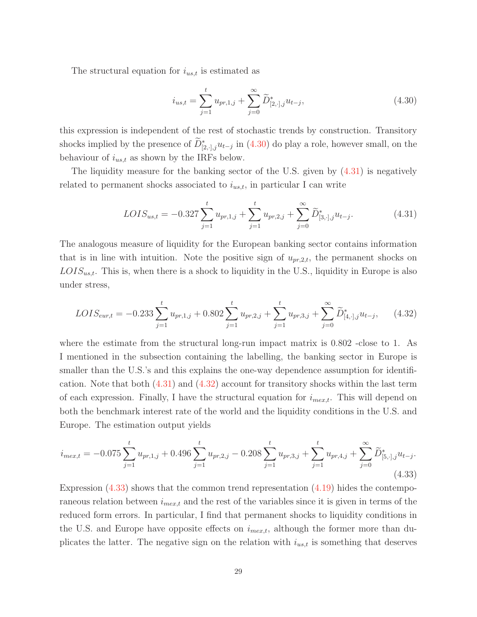The structural equation for  $i_{us,t}$  is estimated as

$$
i_{us,t} = \sum_{j=1}^{t} u_{pr,1,j} + \sum_{j=0}^{\infty} \widetilde{D}_{[2,\cdot],j}^{*} u_{t-j},
$$
\n(4.30)

this expression is independent of the rest of stochastic trends by construction. Transitory shocks implied by the presence of  $D^*_{[2, \cdot], j} u_{t-j}$  in (4.30) do play a role, however small, on the behaviour of  $i_{us,t}$  as shown by the IRFs below.

The liquidity measure for the banking sector of the U.S. given by (4.31) is negatively related to permanent shocks associated to  $i_{us,t}$ , in particular I can write

$$
LOIS_{us,t} = -0.327 \sum_{j=1}^{t} u_{pr,1,j} + \sum_{j=1}^{t} u_{pr,2,j} + \sum_{j=0}^{\infty} \widetilde{D}_{[3,\cdot],j}^{*} u_{t-j}.
$$
 (4.31)

The analogous measure of liquidity for the European banking sector contains information that is in line with intuition. Note the positive sign of  $u_{pr,2,t}$ , the permanent shocks on  $LOIS_{ust}$ . This is, when there is a shock to liquidity in the U.S., liquidity in Europe is also under stress,

$$
LOIS_{eur,t} = -0.233 \sum_{j=1}^{t} u_{pr,1,j} + 0.802 \sum_{j=1}^{t} u_{pr,2,j} + \sum_{j=1}^{t} u_{pr,3,j} + \sum_{j=0}^{\infty} \widetilde{D}_{[4,\cdot],j}^{*} u_{t-j}, \qquad (4.32)
$$

where the estimate from the structural long-run impact matrix is  $0.802$  -close to 1. As I mentioned in the subsection containing the labelling, the banking sector in Europe is smaller than the U.S.'s and this explains the one-way dependence assumption for identification. Note that both (4.31) and (4.32) account for transitory shocks within the last term of each expression. Finally, I have the structural equation for  $i_{mex,t}$ . This will depend on both the benchmark interest rate of the world and the liquidity conditions in the U.S. and Europe. The estimation output yields

$$
i_{mex,t} = -0.075 \sum_{j=1}^{t} u_{pr,1,j} + 0.496 \sum_{j=1}^{t} u_{pr,2,j} - 0.208 \sum_{j=1}^{t} u_{pr,3,j} + \sum_{j=1}^{t} u_{pr,4,j} + \sum_{j=0}^{\infty} \widetilde{D}_{[5,\cdot],j}^{*} u_{t-j}.
$$
\n(4.33)

Expression  $(4.33)$  shows that the common trend representation  $(4.19)$  hides the contemporaneous relation between  $i_{mex,t}$  and the rest of the variables since it is given in terms of the reduced form errors. In particular, I find that permanent shocks to liquidity conditions in the U.S. and Europe have opposite effects on  $i_{mex,t}$ , although the former more than duplicates the latter. The negative sign on the relation with  $i_{us,t}$  is something that deserves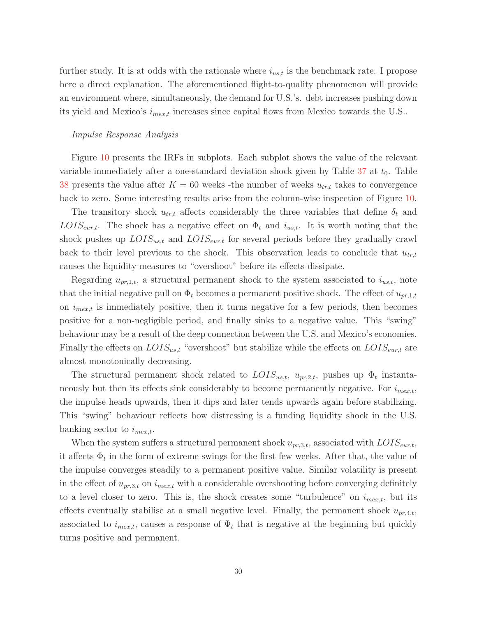further study. It is at odds with the rationale where  $i_{us,t}$  is the benchmark rate. I propose here a direct explanation. The aforementioned flight-to-quality phenomenon will provide an environment where, simultaneously, the demand for U.S.'s. debt increases pushing down its yield and Mexico's  $i_{mex,t}$  increases since capital flows from Mexico towards the U.S..

#### Impulse Response Analysis

Figure 10 presents the IRFs in subplots. Each subplot shows the value of the relevant variable immediately after a one-standard deviation shock given by Table  $37$  at  $t_0$ . Table 38 presents the value after  $K = 60$  weeks -the number of weeks  $u_{tr,t}$  takes to convergence back to zero. Some interesting results arise from the column-wise inspection of Figure 10.

The transitory shock  $u_{tr,t}$  affects considerably the three variables that define  $\delta_t$  and  $LOIS_{\text{eur},t}$ . The shock has a negative effect on  $\Phi_t$  and  $i_{us,t}$ . It is worth noting that the shock pushes up  $LOIS_{us,t}$  and  $LOIS_{eur,t}$  for several periods before they gradually crawl back to their level previous to the shock. This observation leads to conclude that  $u_{tr,t}$ causes the liquidity measures to "overshoot" before its effects dissipate.

Regarding  $u_{pr,1,t}$ , a structural permanent shock to the system associated to  $i_{us,t}$ , note that the initial negative pull on  $\Phi_t$  becomes a permanent positive shock. The effect of  $u_{pr,1,t}$ on  $i_{mex,t}$  is immediately positive, then it turns negative for a few periods, then becomes positive for a non-negligible period, and finally sinks to a negative value. This "swing" behaviour may be a result of the deep connection between the U.S. and Mexico's economies. Finally the effects on  $LOIS_{us,t}$  "overshoot" but stabilize while the effects on  $LOIS_{eur,t}$  are almost monotonically decreasing.

The structural permanent shock related to  $LOIS_{us,t}$ ,  $u_{pr,2,t}$ , pushes up  $\Phi_t$  instantaneously but then its effects sink considerably to become permanently negative. For  $i_{mex,t}$ , the impulse heads upwards, then it dips and later tends upwards again before stabilizing. This "swing" behaviour reflects how distressing is a funding liquidity shock in the U.S. banking sector to  $i_{\text{max},t}$ .

When the system suffers a structural permanent shock  $u_{pr,3,t}$ , associated with  $LOIS_{\text{eur},t}$ , it affects  $\Phi_t$  in the form of extreme swings for the first few weeks. After that, the value of the impulse converges steadily to a permanent positive value. Similar volatility is present in the effect of  $u_{pr,3,t}$  on  $i_{mex,t}$  with a considerable overshooting before converging definitely to a level closer to zero. This is, the shock creates some "turbulence" on  $i_{mex,t}$ , but its effects eventually stabilise at a small negative level. Finally, the permanent shock  $u_{pr,4,t}$ , associated to  $i_{mex,t}$ , causes a response of  $\Phi_t$  that is negative at the beginning but quickly turns positive and permanent.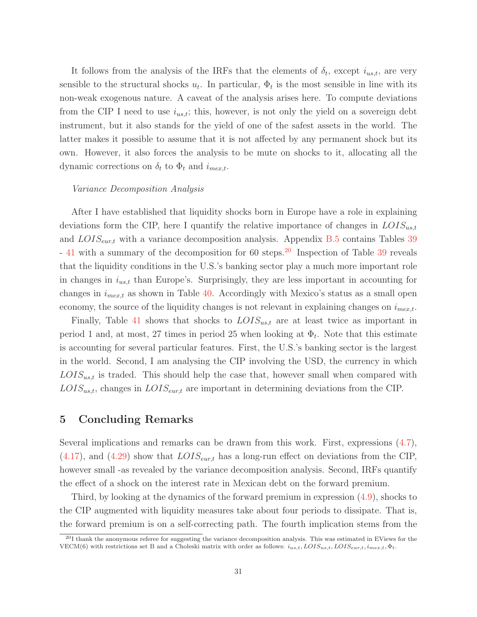It follows from the analysis of the IRFs that the elements of  $\delta_t$ , except  $i_{us,t}$ , are very sensible to the structural shocks  $u_t$ . In particular,  $\Phi_t$  is the most sensible in line with its non-weak exogenous nature. A caveat of the analysis arises here. To compute deviations from the CIP I need to use  $i_{ust}$ ; this, however, is not only the yield on a sovereign debt instrument, but it also stands for the yield of one of the safest assets in the world. The latter makes it possible to assume that it is not affected by any permanent shock but its own. However, it also forces the analysis to be mute on shocks to it, allocating all the dynamic corrections on  $\delta_t$  to  $\Phi_t$  and  $i_{mex,t}$ .

#### Variance Decomposition Analysis

After I have established that liquidity shocks born in Europe have a role in explaining deviations form the CIP, here I quantify the relative importance of changes in  $LOIS_{us,t}$ and  $LOIS_{\text{eur},t}$  with a variance decomposition analysis. Appendix B.5 contains Tables 39 - 41 with a summary of the decomposition for 60 steps.<sup>20</sup> Inspection of Table 39 reveals that the liquidity conditions in the U.S.'s banking sector play a much more important role in changes in  $i_{us,t}$  than Europe's. Surprisingly, they are less important in accounting for changes in  $i_{mex,t}$  as shown in Table 40. Accordingly with Mexico's status as a small open economy, the source of the liquidity changes is not relevant in explaining changes on  $i_{mex,t}$ .

Finally, Table 41 shows that shocks to  $LOIS_{us,t}$  are at least twice as important in period 1 and, at most, 27 times in period 25 when looking at  $\Phi_t$ . Note that this estimate is accounting for several particular features. First, the U.S.'s banking sector is the largest in the world. Second, I am analysing the CIP involving the USD, the currency in which  $LOIS_{us,t}$  is traded. This should help the case that, however small when compared with  $LOIS_{ust}$ , changes in  $LOIS_{eur,t}$  are important in determining deviations from the CIP.

### **5 Concluding Remarks**

Several implications and remarks can be drawn from this work. First, expressions  $(4.7)$ ,  $(4.17)$ , and  $(4.29)$  show that  $LOIS_{\text{eur},t}$  has a long-run effect on deviations from the CIP, however small -as revealed by the variance decomposition analysis. Second, IRFs quantify the effect of a shock on the interest rate in Mexican debt on the forward premium.

Third, by looking at the dynamics of the forward premium in expression (4.9), shocks to the CIP augmented with liquidity measures take about four periods to dissipate. That is, the forward premium is on a self-correcting path. The fourth implication stems from the

 $^{20}$ I thank the anonymous referee for suggesting the variance decomposition analysis. This was estimated in EViews for the VECM(6) with restrictions set B and a Choleski matrix with order as follows:  $i_{us,t}$ ,  $LOIS_{us,t}$ ,  $LOIS_{eur,t}$ ,  $i_{mex,t}$ ,  $\Phi_t$ .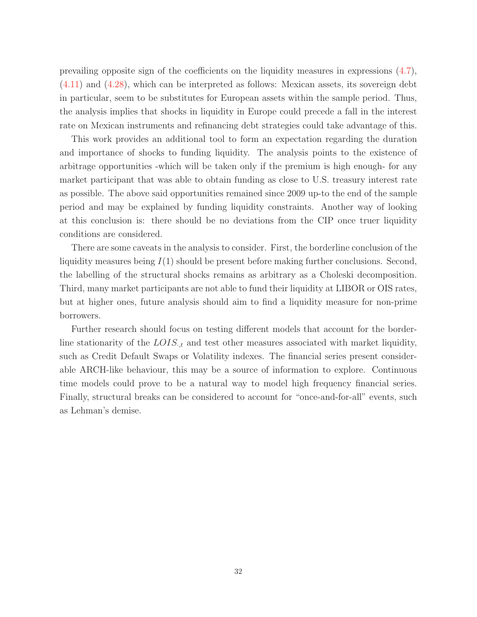prevailing opposite sign of the coefficients on the liquidity measures in expressions (4.7), (4.11) and (4.28), which can be interpreted as follows: Mexican assets, its sovereign debt in particular, seem to be substitutes for European assets within the sample period. Thus, the analysis implies that shocks in liquidity in Europe could precede a fall in the interest rate on Mexican instruments and refinancing debt strategies could take advantage of this.

This work provides an additional tool to form an expectation regarding the duration and importance of shocks to funding liquidity. The analysis points to the existence of arbitrage opportunities -which will be taken only if the premium is high enough- for any market participant that was able to obtain funding as close to U.S. treasury interest rate as possible. The above said opportunities remained since 2009 up-to the end of the sample period and may be explained by funding liquidity constraints. Another way of looking at this conclusion is: there should be no deviations from the CIP once truer liquidity conditions are considered.

There are some caveats in the analysis to consider. First, the borderline conclusion of the liquidity measures being  $I(1)$  should be present before making further conclusions. Second, the labelling of the structural shocks remains as arbitrary as a Choleski decomposition. Third, many market participants are not able to fund their liquidity at LIBOR or OIS rates, but at higher ones, future analysis should aim to find a liquidity measure for non-prime borrowers.

Further research should focus on testing different models that account for the borderline stationarity of the  $LOIS_{\cdot,t}$  and test other measures associated with market liquidity, such as Credit Default Swaps or Volatility indexes. The financial series present considerable ARCH-like behaviour, this may be a source of information to explore. Continuous time models could prove to be a natural way to model high frequency financial series. Finally, structural breaks can be considered to account for "once-and-for-all" events, such as Lehman's demise.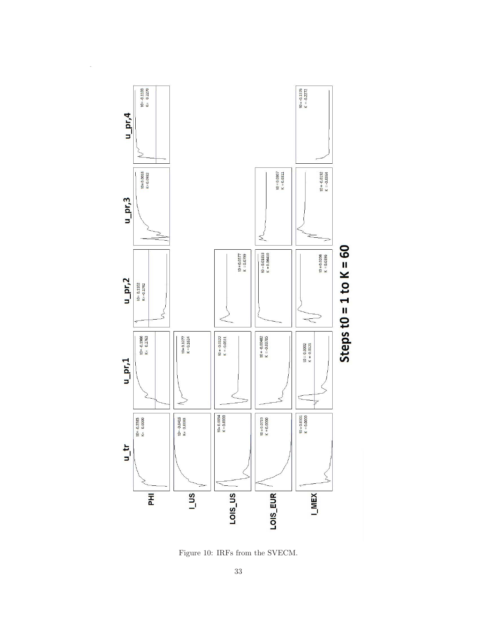

Figure 10: IRFs from the SVECM.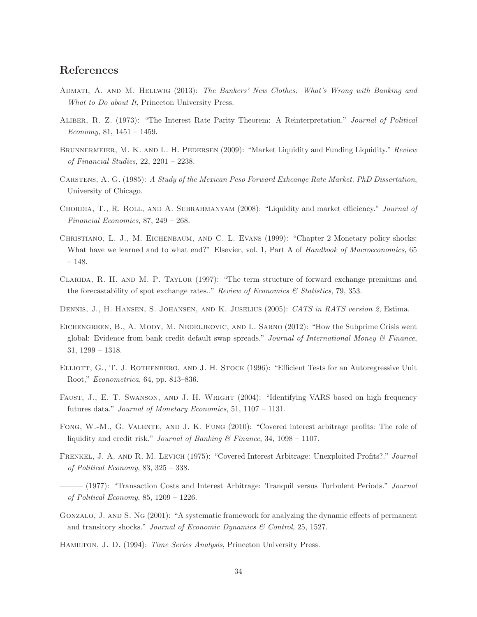### **References**

- Admati, A. and M. Hellwig (2013): The Bankers' New Clothes: What's Wrong with Banking and What to Do about It, Princeton University Press.
- Aliber, R. Z. (1973): "The Interest Rate Parity Theorem: A Reinterpretation." Journal of Political  $Economy, 81, 1451 - 1459.$
- BRUNNERMEIER, M. K. AND L. H. PEDERSEN (2009): "Market Liquidity and Funding Liquidity." Review of Financial Studies, 22, 2201 – 2238.
- Carstens, A. G. (1985): A Study of the Mexican Peso Forward Exhcange Rate Market. PhD Dissertation, University of Chicago.
- CHORDIA, T., R. ROLL, AND A. SUBRAHMANYAM (2008): "Liquidity and market efficiency." Journal of Financial Economics, 87, 249 – 268.
- CHRISTIANO, L. J., M. EICHENBAUM, AND C. L. EVANS (1999): "Chapter 2 Monetary policy shocks: What have we learned and to what end?" Elsevier, vol. 1, Part A of Handbook of Macroeconomics, 65 – 148.
- Clarida, R. H. and M. P. Taylor (1997): "The term structure of forward exchange premiums and the forecastability of spot exchange rates.." Review of Economics  $\mathcal{B}$  Statistics, 79, 353.
- Dennis, J., H. Hansen, S. Johansen, and K. Juselius (2005): CATS in RATS version 2, Estima.
- EICHENGREEN, B., A. MODY, M. NEDELJKOVIC, AND L. SARNO (2012): "How the Subprime Crisis went global: Evidence from bank credit default swap spreads." Journal of International Money  $\mathcal C$  Finance, 31, 1299 – 1318.
- ELLIOTT, G., T. J. ROTHENBERG, AND J. H. STOCK (1996): "Efficient Tests for an Autoregressive Unit Root," Econometrica, 64, pp. 813–836.
- Faust, J., E. T. Swanson, and J. H. Wright (2004): "Identifying VARS based on high frequency futures data." Journal of Monetary Economics, 51, 1107 – 1131.
- Fong, W.-M., G. Valente, and J. K. Fung (2010): "Covered interest arbitrage profits: The role of liquidity and credit risk." Journal of Banking  $\mathcal B$  Finance, 34, 1098 – 1107.
- Frenkel, J. A. and R. M. Levich (1975): "Covered Interest Arbitrage: Unexploited Profits?." Journal of Political Economy, 83, 325 – 338.
- $-(1977)$ : "Transaction Costs and Interest Arbitrage: Tranquil versus Turbulent Periods." Journal of Political Economy, 85, 1209 – 1226.
- GONZALO, J. AND S. NG (2001): "A systematic framework for analyzing the dynamic effects of permanent and transitory shocks." Journal of Economic Dynamics & Control, 25, 1527.
- Hamilton, J. D. (1994): Time Series Analysis, Princeton University Press.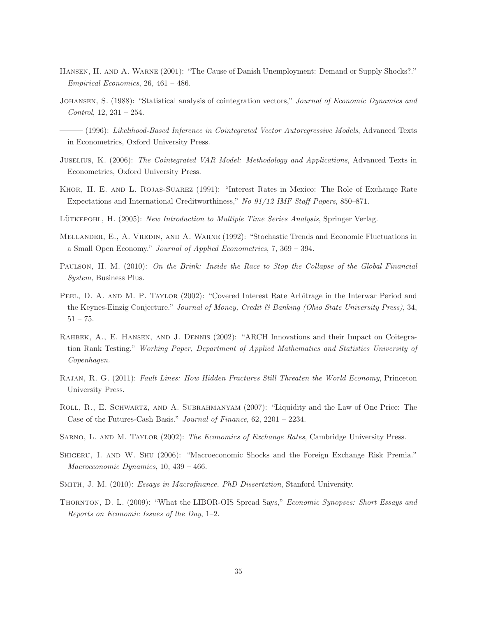- Hansen, H. and A. Warne (2001): "The Cause of Danish Unemployment: Demand or Supply Shocks?." Empirical Economics, 26, 461 – 486.
- Johansen, S. (1988): "Statistical analysis of cointegration vectors," Journal of Economic Dynamics and Control, 12, 231 – 254.

 $-(1996)$ : Likelihood-Based Inference in Cointegrated Vector Autoregressive Models, Advanced Texts in Econometrics, Oxford University Press.

- Juselius, K. (2006): The Cointegrated VAR Model: Methodology and Applications, Advanced Texts in Econometrics, Oxford University Press.
- Khor, H. E. and L. Rojas-Suarez (1991): "Interest Rates in Mexico: The Role of Exchange Rate Expectations and International Creditworthiness," No 91/12 IMF Staff Papers, 850–871.
- LÜTKEPOHL, H. (2005): New Introduction to Multiple Time Series Analysis, Springer Verlag.
- MELLANDER, E., A. VREDIN, AND A. WARNE (1992): "Stochastic Trends and Economic Fluctuations in a Small Open Economy." Journal of Applied Econometrics, 7, 369 – 394.
- Paulson, H. M. (2010): On the Brink: Inside the Race to Stop the Collapse of the Global Financial System, Business Plus.
- PEEL, D. A. AND M. P. TAYLOR (2002): "Covered Interest Rate Arbitrage in the Interwar Period and the Keynes-Einzig Conjecture." Journal of Money, Credit & Banking (Ohio State University Press), 34,  $51 - 75.$
- Rahbek, A., E. Hansen, and J. Dennis (2002): "ARCH Innovations and their Impact on Coitegration Rank Testing." Working Paper, Department of Applied Mathematics and Statistics University of Copenhagen.
- Rajan, R. G. (2011): Fault Lines: How Hidden Fractures Still Threaten the World Economy, Princeton University Press.
- Roll, R., E. Schwartz, and A. Subrahmanyam (2007): "Liquidity and the Law of One Price: The Case of the Futures-Cash Basis." Journal of Finance, 62, 2201 – 2234.
- SARNO, L. AND M. TAYLOR (2002): The Economics of Exchange Rates, Cambridge University Press.
- SHIGERU, I. AND W. SHU (2006): "Macroeconomic Shocks and the Foreign Exchange Risk Premia." Macroeconomic Dynamics, 10, 439 – 466.
- Smith, J. M. (2010): Essays in Macrofinance. PhD Dissertation, Stanford University.
- Thornton, D. L. (2009): "What the LIBOR-OIS Spread Says," Economic Synopses: Short Essays and Reports on Economic Issues of the Day, 1–2.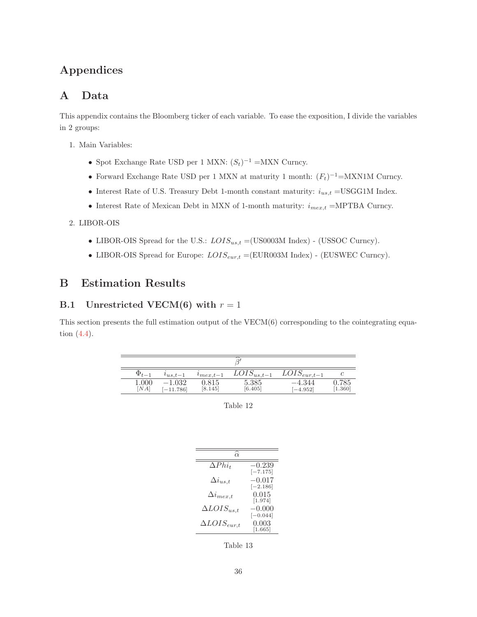# **Appendices**

## **A Data**

This appendix contains the Bloomberg ticker of each variable. To ease the exposition, I divide the variables in 2 groups:

- 1. Main Variables:
	- Spot Exchange Rate USD per 1 MXN:  $(S_t)^{-1} = M X N$  Curncy.
	- Forward Exchange Rate USD per 1 MXN at maturity 1 month:  $(F_t)^{-1}$ =MXN1M Curncy.
	- Interest Rate of U.S. Treasury Debt 1-month constant maturity:  $i_{us,t}$  =USGG1M Index.
	- Interest Rate of Mexican Debt in MXN of 1-month maturity:  $i_{mex,t}$  =MPTBA Curncy.

#### 2. LIBOR-OIS

- LIBOR-OIS Spread for the U.S.:  $LOIS_{us,t} = (US0003M \text{ Index})$  (USSOC Curncy).
- $\bullet$  LIBOR-OIS Spread for Europe:  $LOIS_{eur, t}$  =(EUR003M Index) (EUSWEC Curncy).

## **B Estimation Results**

#### **B.1** Unrestricted VECM(6) with  $r = 1$

This section presents the full estimation output of the VECM(6) corresponding to the cointegrating equation (4.4).

| $\Phi_{t-1}$ | $u_{us,t-1}$      | $v_{\text{max},t-1}$ | $LOIS_{us,t-1}$  | $LOIS_{eur,t-1}$   | C               |
|--------------|-------------------|----------------------|------------------|--------------------|-----------------|
| 1.000<br>NA  | .032<br>$-11.786$ | 0.815<br>[8.145]     | 5.385<br>[6.405] | -4.344<br>$-4.952$ | .785<br>[1.360] |

Table 12

| $\alpha$              |                        |
|-----------------------|------------------------|
| $\Delta Phi_t$        | $-0.239$               |
| $\Delta i_{us,t}$     | $[-7.175]$<br>$-0.017$ |
| $\Delta i_{mex,t}$    | $[-2.186]$<br>0.015    |
| $\Delta LOIS_{us,t}$  | [1.974]<br>$-0.000$    |
|                       | $[-0.044]$             |
| $\Delta LOIS_{eur,t}$ | 0.003<br>[1.665]       |

Table 13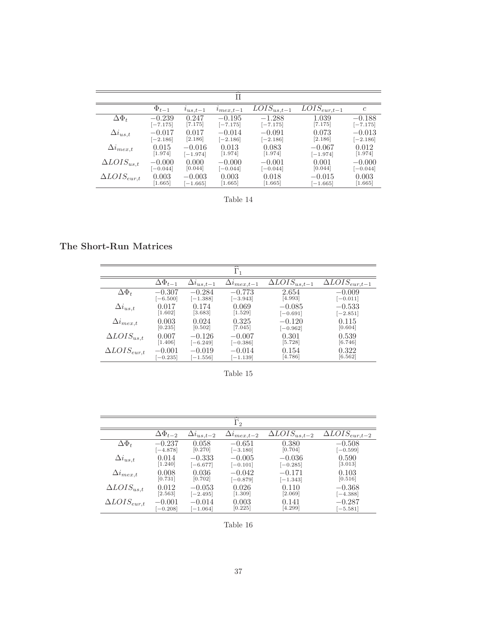|                       |              |              | Π                |                       |                             |               |
|-----------------------|--------------|--------------|------------------|-----------------------|-----------------------------|---------------|
|                       | $\Phi_{t-1}$ | $u_{us,t-1}$ | $\ell_{max,t-1}$ | $\bar{L}OIS_{us,t-1}$ | $\overline{LOIS}_{eur,t-1}$ | $\mathfrak c$ |
| $\Delta\Phi_t$        | $-0.239$     | 0.247        | $-0.195$         | $-1.288$              | 1.039                       | $-0.188$      |
|                       | $[-7.175]$   | [7.175]      | $[-7.175]$       | $[-7.175]$            | [7.175]                     | $[-7.175]$    |
| $\Delta i_{us,t}$     | $-0.017$     | 0.017        | $-0.014$         | $-0.091$              | 0.073                       | $-0.013$      |
|                       | $[-2.186]$   | [2.186]      | $[-2.186]$       | $[-2.186]$            | [2.186]                     | $[-2.186]$    |
| $\Delta i_{mex,t}$    | 0.015        | $-0.016$     | 0.013            | 0.083                 | $-0.067$                    | 0.012         |
|                       | [1.974]      | $[-1.974]$   | [1.974]          | [1.974]               | $[-1.974]$                  | $[1.974]$     |
| $\Delta LOIS_{us,t}$  | $-0.000$     | 0.000        | $-0.000$         | $-0.001$              | 0.001                       | $-0.000$      |
|                       | $[-0.044]$   | [0.044]      | $[-0.044]$       | $[-0.044]$            | [0.044]                     | $[-0.044]$    |
| $\Delta LOIS_{eur,t}$ | 0.003        | $-0.003$     | 0.003            | 0.018                 | $-0.015$                    | 0.003         |
|                       | [1.665]      | $-1.665$     | [1.665]          | [1.665]               | $[-1.665]$                  | [1.665]       |

Table 14

**The Short-Run Matrices**

|                       |                    |                     | $\tilde{}$<br>$\overline{\Gamma}_1$ |                                   |                                    |
|-----------------------|--------------------|---------------------|-------------------------------------|-----------------------------------|------------------------------------|
|                       | $\Delta\Phi_{t-1}$ | $\Delta i_{us,t-1}$ | $\Delta i_{mex,t-1}$                | $\overline{\Delta LOIS}_{us,t-1}$ | $\overline{\Delta LOIS}_{eur,t-1}$ |
| $\Delta\Phi_t$        | $-0.307$           | $-0.284$            | $-0.773$                            | 2.654                             | $-0.009$                           |
|                       | $[-6.500]$         | $[-1.388]$          | $[-3.943]$                          | [4.993]                           | $[-0.011]$                         |
| $\Delta i_{us,t}$     | 0.017              | 0.174               | 0.069                               | $-0.085$                          | $-0.533$                           |
|                       | [1.602]            | [3.683]             | [1.529]                             | $[-0.691]$                        | $[-2.851]$                         |
| $\Delta i_{mex,t}$    | 0.003              | 0.024               | 0.325                               | $-0.120$                          | 0.115                              |
|                       | [0.235]            | [0.502]             | [7.045]                             | $[-0.962]$                        | [0.604]                            |
| $\Delta LOIS_{us,t}$  | 0.007              | $-0.126$            | $-0.007$                            | 0.301                             | 0.539                              |
|                       | [1.406]            | $[-6.249]$          | $[-0.386]$                          | [5.728]                           | [6.746]                            |
| $\Delta LOIS_{eur,t}$ | $-0.001$           | $-0.019$            | $-0.014$                            | 0.154                             | 0.322                              |
|                       | $-0.235$           | $[-1.556]$          | $[-1.139]$                          | [4.786]                           | [6.562]                            |
|                       |                    |                     |                                     |                                   |                                    |

Table 15

|                       |                       |                     | $\overline{\widehat{\Gamma}_2}$ |                                              |                                                |
|-----------------------|-----------------------|---------------------|---------------------------------|----------------------------------------------|------------------------------------------------|
|                       | $\Delta\Phi_{t-2}$    | $\Delta i_{us,t-2}$ | $\Delta i_{mex,t-2}$            | $\overline{\Delta LO}$ <i>I</i> $S_{us,t-2}$ | $\overline{\Delta LO}$ <i>I</i> $S_{eur, t-2}$ |
| $\Delta\Phi_t$        | $-0.237$              | 0.058               | $-0.651$                        | 0.380                                        | $-0.508$                                       |
|                       | $[-4.878]$            | [0.270]             | $[-3.180]$                      | [0.704]                                      | $[-0.599]$                                     |
| $\Delta i_{us,t}$     | 0.014                 | $-0.333$            | $-0.005$                        | $-0.036$                                     | 0.590                                          |
|                       | 1.240                 | $[-6.677]$          | $[-0.101]$                      | $[-0.285]$                                   | $\left[3.013\right]$                           |
| $\Delta i_{mex,t}$    | 0.008                 | 0.036               | $-0.042$                        | $-0.171$                                     | 0.103                                          |
|                       | [0.731]               | [0.702]             | $[-0.879]$                      | $[-1.343]$                                   | [0.516]                                        |
| $\Delta LOIS_{us,t}$  | 0.012                 | $-0.053$            | 0.026                           | 0.110                                        | $-0.368$                                       |
|                       | $\left[ 2.563\right]$ | $[-2.495]$          | [1.309]                         | [2.069]                                      | $[-4.388]$                                     |
| $\Delta LOIS_{eur,t}$ | $-0.001$              | $-0.014$            | 0.003                           | 0.141                                        | $-0.287$                                       |
|                       | $[-0.208]$            | $[-1.064]$          | [0.225]                         | [4.299]                                      | $[-5.581]$                                     |

Table 16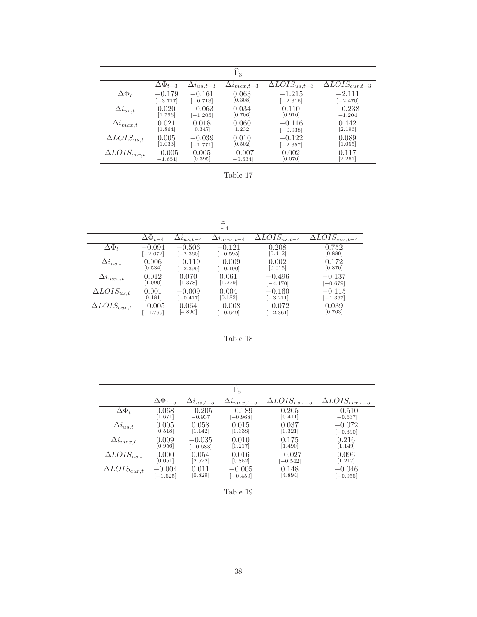|                       |                          |                     | $\widehat{\Gamma}_3$ |                                               |                                    |
|-----------------------|--------------------------|---------------------|----------------------|-----------------------------------------------|------------------------------------|
|                       | $\bar{\Delta}\Phi_{t-3}$ | $\Delta i_{us,t-3}$ | $\Delta i_{mex,t-3}$ | $\overline{\Delta} \overline{L} OIS_{us,t-3}$ | $\overline{\Delta L}OIS_{eur,t-3}$ |
| $\Delta \Phi_t$       | $-0.179$                 | $-0.161$            | 0.063                | $-1.215$                                      | $-2.111$                           |
|                       | $[-3.717]$               | $[-0.713]$          | [0.308]              | $[-2.316]$                                    | $[-2.470]$                         |
| $\Delta i_{us,t}$     | 0.020                    | $-0.063$            | 0.034                | 0.110                                         | $-0.238$                           |
|                       | [1.796]                  | $[-1.205]$          | [0.706]              | [0.910]                                       | $[-1.204]$                         |
| $\Delta i_{mex,t}$    | 0.021                    | 0.018               | 0.060                | $-0.116$                                      | 0.442                              |
|                       | [1.864]                  | [0.347]             | [1.232]              | $[-0.938]$                                    | [2.196]                            |
| $\Delta LOIS_{us,t}$  | 0.005                    | $-0.039$            | 0.010                | $-0.122$                                      | 0.089                              |
|                       | [1.033]                  | $[-1.771]$          | [0.502]              | $[-2.357]$                                    | [1.055]                            |
| $\Delta LOIS_{eur,t}$ | $-0.005$                 | 0.005               | $-0.007$             | 0.002                                         | 0.117                              |
|                       | $-1.651$                 | [0.395]             | $-0.534$             | [0.070]                                       | [2.261]                            |

Table 17

|                       |                    |                     | ≂<br>$\overline{\Gamma}_4$ |                                                   |                                                |
|-----------------------|--------------------|---------------------|----------------------------|---------------------------------------------------|------------------------------------------------|
|                       | $\Delta\Phi_{t-4}$ | $\Delta i_{us,t=4}$ | $\Delta i_{mex,t-4}$       | $\overline{\Delta}$ <i>LOIS</i> <sub>us,t-4</sub> | $\overline{\Delta LO}$ <i>I</i> $S_{eur, t-4}$ |
| $\Delta\Phi_t$        | $-0.094$           | $-0.506$            | $-0.121$                   | 0.208                                             | 0.752                                          |
|                       | $[-2.072]$         | $[-2.360]$          | $[-0.595]$                 | [0.412]                                           | [0.880]                                        |
| $\Delta i_{us,t}$     | 0.006              | $-0.119$            | $-0.009$                   | 0.002                                             | 0.172                                          |
|                       | [0.534]            | $[-2.399]$          | $[-0.190]$                 | [0.015]                                           | [0.870]                                        |
| $\Delta i_{mex,t}$    | 0.012              | 0.070               | 0.061                      | $-0.496$                                          | $-0.137$                                       |
|                       | [1.090]            | [1.378]             | [1.279]                    | $[-4.170]$                                        | $[-0.679]$                                     |
| $\Delta LOIS_{us,t}$  | 0.001              | $-0.009$            | 0.004                      | $-0.160$                                          | $-0.115$                                       |
|                       | [0.181]            | $[-0.417]$          | [0.182]                    | $[-3.211]$                                        | $[-1.367]$                                     |
| $\Delta LOIS_{eur,t}$ | $-0.005$           | 0.064               | $-0.008$                   | $-0.072$                                          | 0.039                                          |
|                       | $[-1.769]$         | [4.890]             | $[-0.649]$                 | $[-2.361]$                                        | [0.763]                                        |

Table 18

|                       |                    |                     | ≂<br>$\Gamma_5$                   |                                   |                                    |
|-----------------------|--------------------|---------------------|-----------------------------------|-----------------------------------|------------------------------------|
|                       | $\Delta\Phi_{t-5}$ | $\Delta i_{us,t-5}$ | $\Delta i_{mex, \underline{t-5}}$ | $\overline{\Delta LOIS}_{us,t-5}$ | $\overline{\Delta LOIS}_{eur,t-5}$ |
| $\Delta\Phi_t$        | 0.068              | $-0.205$            | $-0.189$                          | 0.205                             | $-0.510$                           |
|                       | [1.671]            | $[-0.937]$          | $[-0.968]$                        | [0.411]                           | $[-0.637]$                         |
| $\Delta i_{us,t}$     | 0.005              | 0.058               | 0.015                             | 0.037                             | $-0.072$                           |
|                       | [0.518]            | [1.142]             | [0.338]                           | [0.321]                           | $[-0.390]$                         |
| $\Delta i_{mex,t}$    | 0.009              | $-0.035$            | 0.010                             | 0.175                             | 0.216                              |
|                       | [0.956]            | $-0.683$            | [0.217]                           | [1.490]                           | [1.149]                            |
| $\Delta LOIS_{us,t}$  | 0.000              | 0.054               | 0.016                             | $-0.027$                          | 0.096                              |
|                       | [0.051]            | [2.522]             | [0.852]                           | $[-0.542]$                        | [1.217]                            |
| $\Delta LOIS_{eur,t}$ | $-0.004$           | 0.011               | $-0.005$                          | 0.148                             | $-0.046$                           |
|                       | $-1.525$           | [0.829]             | $[-0.459]$                        | [4.894]                           | $[-0.955]$                         |

Table 19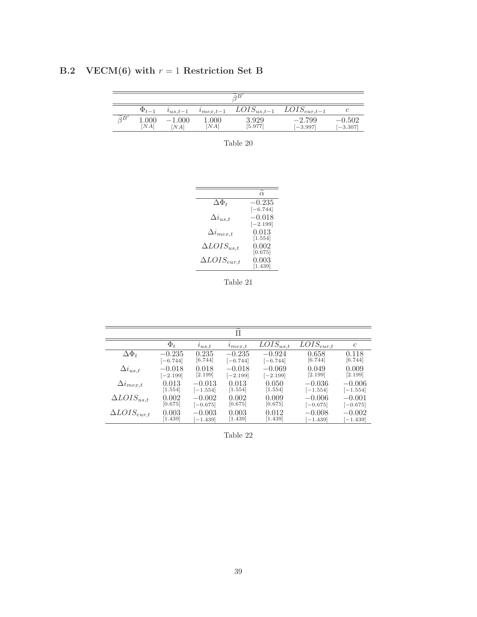| B.2 VECM(6) with $r = 1$ Restriction Set B |  |
|--------------------------------------------|--|
|                                            |  |

|                        | $\Phi_{t-1}$ | $i_{us,t-1}$ | $\ell_{max.t-1}$ | $LOIS_{us,t-1}$  | $LOIS_{eur,t-1}$       |                        |
|------------------------|--------------|--------------|------------------|------------------|------------------------|------------------------|
| $\widetilde{\circ}$ B' | 1.000<br>NA  | 1.000<br>NA  | 000.1<br>[NA]    | 3.929<br>[5.977] | $-2.799$<br>$[-3.997]$ | $-0.502$<br>$[-3.307]$ |

Table 20

|                        | $\alpha$         |
|------------------------|------------------|
| $\Delta\Phi_t$         | $-0.235$         |
|                        | $[-6.744]$       |
| $\Delta i_{us,t}$      | $-0.018$         |
|                        | $[-2.199]$       |
| $\Delta i_{mex,t}$     | 0.013            |
|                        | [1.554]          |
| $\Delta LOIS_{us,t}$   | 0.002<br>[0.675] |
|                        | 0.003            |
| $\Delta LOIS_{eur, t}$ | [1.439]          |
|                        |                  |

Table 21

|                       |                      |            | $\widetilde{\phantom{m}}$<br>Π |                          |                           |               |
|-----------------------|----------------------|------------|--------------------------------|--------------------------|---------------------------|---------------|
|                       | $\Phi_t$             | $u_{us,t}$ | $u_{max,t}$                    | $\overline{LOIS}_{us,t}$ | $\overline{LOIS}_{eur,t}$ | $\mathcal{C}$ |
| $\Delta \Phi_t$       | $-0.235$             | 0.235      | $-0.235$                       | $-0.924$                 | 0.658                     | 0.118         |
|                       | $[-6.744]$           | [6.744]    | $[-6.744]$                     | $[-6.744]$               | [6.744]                   | [6.744]       |
| $\Delta i_{us,t}$     | $-0.018$             | 0.018      | $-0.018$                       | $-0.069$                 | 0.049                     | 0.009         |
|                       | $[-2.199]$           | [2.199]    | $[-2.199]$                     | $[-2.199]$               | [2.199]                   | [2.199]       |
| $\Delta i_{mex,t}$    | 0.013                | $-0.013$   | 0.013                          | 0.050                    | $-0.036$                  | $-0.006$      |
|                       | $\left[1.554\right]$ | $[-1.554]$ | [1.554]                        | [1.554]                  | $[-1.554]$                | $[-1.554]$    |
| $\Delta LOIS_{us,t}$  | 0.002                | $-0.002$   | 0.002                          | 0.009                    | $-0.006$                  | $-0.001$      |
|                       | [0.675]              | $[-0.675]$ | [0.675]                        | [0.675]                  | $[-0.675]$                | $[-0.675]$    |
| $\Delta LOIS_{eur,t}$ | 0.003                | $-0.003$   | 0.003                          | 0.012                    | $-0.008$                  | $-0.002$      |
|                       | 1.439                | $[-1.439]$ | [1.439]                        | [1.439]                  | $-1.439$ ]                | $-1.439$      |

Table 22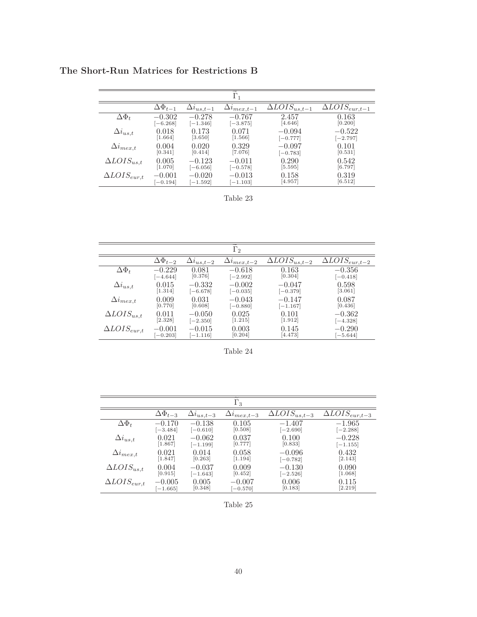**The Short-Run Matrices for Restrictions B**

|                       |                      |                     | $\Gamma_1$           |                                   |                                        |
|-----------------------|----------------------|---------------------|----------------------|-----------------------------------|----------------------------------------|
|                       | $\Delta\Phi_{t-1}$   | $\Delta i_{us,t-1}$ | $\Delta i_{mex,t-1}$ | $\overline{\Delta LOIS}_{us,t-1}$ | $\overline{\Delta LO}$ I $S_{eur,t-1}$ |
| $\Delta \Phi_t$       | $-0.302$             | $-0.278$            | $-0.767$             | 2.457                             | 0.163                                  |
|                       | $[-6.268]$           | $[-1.346]$          | $[-3.875]$           | [4.646]                           | [0.200]                                |
| $\Delta i_{us,t}$     | 0.018                | 0.173               | 0.071                | $-0.094$                          | $-0.522$                               |
|                       | $\left[1.664\right]$ | [3.650]             | $\left[1.566\right]$ | $[-0.777]$                        | $[-2.797]$                             |
| $\Delta i_{mex,t}$    | 0.004                | 0.020               | 0.329                | $-0.097$                          | 0.101                                  |
|                       | [0.341]              | [0.414]             | [7.076]              | $[-0.783]$                        | [0.531]                                |
| $\Delta LOIS_{us,t}$  | 0.005                | $-0.123$            | $-0.011$             | 0.290                             | 0.542                                  |
|                       | [1.070]              | $[-6.056]$          | $[-0.578]$           | [5.595]                           | [6.797]                                |
| $\Delta LOIS_{eur,t}$ | $-0.001$             | $-0.020$            | $-0.013$             | 0.158                             | 0.319                                  |
|                       | $[-0.194]$           | $[-1.592]$          | $-1.103$             | [4.957]                           | [6.512]                                |

Table 23

|                       |                    |                     | $\Gamma_2$           |                                                   |                                    |
|-----------------------|--------------------|---------------------|----------------------|---------------------------------------------------|------------------------------------|
|                       | $\Delta\Phi_{t-2}$ | $\Delta i_{us,t-2}$ | $\Delta i_{mex,t-2}$ | $\overline{\Delta}$ <i>LOIS</i> <sub>us,t-2</sub> | $\overline{\Delta LOIS}_{eur,t-2}$ |
| $\Delta\Phi_t$        | $-0.229$           | 0.081               | $-0.618$             | 0.163                                             | $-0.356$                           |
|                       | $[-4.644]$         | [0.376]             | $[-2.992]$           | [0.304]                                           | $[-0.418]$                         |
| $\Delta i_{us,t}$     | 0.015              | $-0.332$            | $-0.002$             | $-0.047$                                          | 0.598                              |
|                       | [1.314]            | $[-6.678]$          | $[-0.035]$           | $[-0.379]$                                        | [3.061]                            |
| $\Delta i_{mex,t}$    | 0.009              | 0.031               | $-0.043$             | $-0.147$                                          | 0.087                              |
|                       | [0.770]            | [0.608]             | $[-0.880]$           | $[-1.167]$                                        | [0.436]                            |
| $\Delta LOIS_{us,t}$  | 0.011              | $-0.050$            | 0.025                | 0.101                                             | $-0.362$                           |
|                       | [2.328]            | $[-2.350]$          | [1.215]              | $[1.912]$                                         | $[-4.328]$                         |
| $\Delta LOIS_{eur,t}$ | $-0.001$           | $-0.015$            | 0.003                | 0.145                                             | $-0.290$                           |
|                       | $-0.203$           | $-1.116$            | [0.204]              | [4.473]                                           | $[-5.644]$                         |

Table 24

|                       |                    |                     | $\Gamma_3$                        |                                       |                                    |
|-----------------------|--------------------|---------------------|-----------------------------------|---------------------------------------|------------------------------------|
|                       | $\Delta\Phi_{t-3}$ | $\Delta i_{us,t-3}$ | $\Delta i_{mex, \underline{t-3}}$ | $\overline{\Delta LO}$ I $S_{us,t-3}$ | $\overline{\Delta LOIS}_{eur,t-3}$ |
| $\Delta \Phi_t$       | $-0.170$           | $-0.138$            | 0.105                             | $-1.407$                              | $-1.965$                           |
|                       | $[-3.484]$         | $[-0.610]$          | [0.508]                           | $[-2.690]$                            | $[-2.288]$                         |
| $\Delta i_{us,t}$     | 0.021              | $-0.062$            | 0.037                             | 0.100                                 | $-0.228$                           |
|                       | [1.867]            | $[-1.199]$          | [0.777]                           | [0.833]                               | $[-1.155]$                         |
| $\Delta i_{mex,t}$    | 0.021              | 0.014               | 0.058                             | $-0.096$                              | 0.432                              |
|                       | 1.847              | [0.263]             | [1.194]                           | $[-0.782]$                            | [2.143]                            |
| $\Delta LOIS_{us,t}$  | 0.004              | $-0.037$            | 0.009                             | $-0.130$                              | 0.090                              |
|                       | [0.915]            | $[-1.643]$          | [0.452]                           | $[-2.526]$                            | [1.068]                            |
| $\Delta LOIS_{eur,t}$ | $-0.005$           | 0.005               | $-0.007$                          | 0.006                                 | 0.115                              |
|                       | $[-1.665]$         | [0.348]             | $-0.570$                          | [0.183]                               | [2.219]                            |

Table 25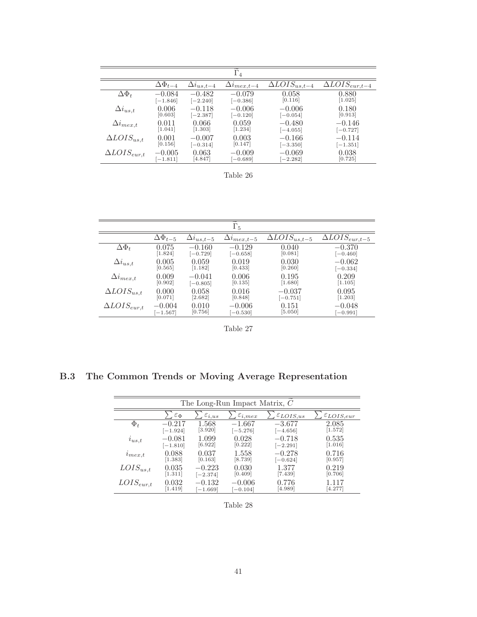|                       |                     |                     | $\Gamma_4$                       |                                                   |                                   |
|-----------------------|---------------------|---------------------|----------------------------------|---------------------------------------------------|-----------------------------------|
|                       | $\Delta \Phi_{t-4}$ | $\Delta i_{us,t-4}$ | $\Delta i_{mex,\underline{t-4}}$ | $\overline{\Delta}$ <i>LOIS</i> <sub>us,t-4</sub> | $\overline{\Delta}LOIS_{eur,t-4}$ |
| $\Delta\Phi_t$        | $-0.084$            | $-0.482$            | $-0.079$                         | 0.058                                             | 0.880                             |
|                       | $[-1.846]$          | $[-2.240]$          | $[-0.386]$                       | [0.116]                                           | [1.025]                           |
| $\Delta i_{us,t}$     | 0.006               | $-0.118$            | $-0.006$                         | $-0.006$                                          | 0.180                             |
|                       | [0.603]             | $[-2.387]$          | $[-0.120]$                       | $[-0.054]$                                        | [0.913]                           |
| $\Delta i_{mex,t}$    | 0.011               | 0.066               | 0.059                            | $-0.480$                                          | $-0.146$                          |
|                       | [1.041]             | [1.303]             | [1.234]                          | $[-4.055]$                                        | $[-0.727]$                        |
| $\Delta LOIS_{us,t}$  | 0.001               | $-0.007$            | 0.003                            | $-0.166$                                          | $-0.114$                          |
|                       | [0.156]             | $[-0.314]$          | [0.147]                          | $[-3.350]$                                        | $[-1.351]$                        |
| $\Delta LOIS_{eur,t}$ | $-0.005$            | 0.063               | $-0.009$                         | $-0.069$                                          | 0.038                             |
|                       | $[-1.811]$          | [4.847]             | $-0.689$                         | $[-2.282]$                                        | [0.725]                           |

Table 26

|                       |                    |                     | $\Gamma_5$                        |                                                   |                                    |
|-----------------------|--------------------|---------------------|-----------------------------------|---------------------------------------------------|------------------------------------|
|                       | $\Delta\Phi_{t-5}$ | $\Delta i_{us,t-5}$ | $\Delta i_{mex, \underline{t-5}}$ | $\overline{\Delta}$ <i>LOIS</i> <sub>us,t-5</sub> | $\overline{\Delta LOIS}_{eur,t-5}$ |
| $\Delta\Phi_t$        | 0.075              | $-0.160$            | $-0.129$                          | 0.040                                             | $-0.370$                           |
|                       | 1.824              | $[-0.729]$          | $[-0.658]$                        | [0.081]                                           | $[-0.460]$                         |
| $\Delta i_{us,t}$     | 0.005              | 0.059               | 0.019                             | 0.030                                             | $-0.062$                           |
|                       | [0.565]            | [1.182]             | [0.433]                           | [0.260]                                           | $[-0.334]$                         |
| $\Delta i_{mex,t}$    | 0.009              | $-0.041$            | 0.006                             | 0.195                                             | 0.209                              |
|                       | [0.902]            | $[-0.805]$          | [0.135]                           | [1.680]                                           | [1.105]                            |
| $\Delta LOIS_{us,t}$  | 0.000              | 0.058               | 0.016                             | $-0.037$                                          | 0.095                              |
|                       | [0.071]            | [2.682]             | [0.848]                           | $[-0.751]$                                        | [1.203]                            |
| $\Delta LOIS_{eur,t}$ | $-0.004$           | 0.010               | $-0.006$                          | 0.151                                             | $-0.048$                           |
|                       | $[-1.567]$         | [0.756]             | $[-0.530]$                        | [5.050]                                           | $[-0.991]$                         |

Table 27

**B.3 The Common Trends or Moving Average Representation**

| The Long-Run Impact Matrix, C |                      |                      |                        |                         |                       |  |  |  |  |
|-------------------------------|----------------------|----------------------|------------------------|-------------------------|-----------------------|--|--|--|--|
|                               |                      |                      |                        |                         |                       |  |  |  |  |
|                               | $\varepsilon_{\Phi}$ | $\varepsilon_{i,us}$ | $\varepsilon_{i, max}$ | $\varepsilon_{LOIS,us}$ | $\epsilon_{LOIS,eur}$ |  |  |  |  |
| $\Phi_t$                      | $-0.217$             | 1.568                | $-1.667$               | $-3.677$                | 2.085                 |  |  |  |  |
|                               | $[-1.924]$           | $[3.920]$            | $[-5.276]$             | $[-4.656]$              | [1.572]               |  |  |  |  |
| $i_{us,t}$                    | $-0.081$             | 1.099                | 0.028                  | $-0.718$                | 0.535                 |  |  |  |  |
|                               | $[-1.810]$           | [6.922]              | [0.222]                | $[-2.291]$              | [1.016]               |  |  |  |  |
| $\ell_{mex,t}$                | 0.088                | 0.037                | 1.558                  | $-0.278$                | 0.716                 |  |  |  |  |
|                               | [1.383]              | [0.163]              | [8.739]                | $[-0.624]$              | [0.957]               |  |  |  |  |
| $LOIS_{us,t}$                 | 0.035                | $-0.223$             | 0.030                  | 1.377                   | 0.219                 |  |  |  |  |
|                               | [1.311]              | $[-2.374]$           | [0.409]                | $[7.439]$               | [0.706]               |  |  |  |  |
| $LOIS_{eur,t}$                | 0.032                | $-0.132$             | $-0.006$               | 0.776                   | 1.117                 |  |  |  |  |
|                               | [1.419]              | $[-1.669]$           | $[-0.104]$             | [4.989]                 | [4.277]               |  |  |  |  |

Table 28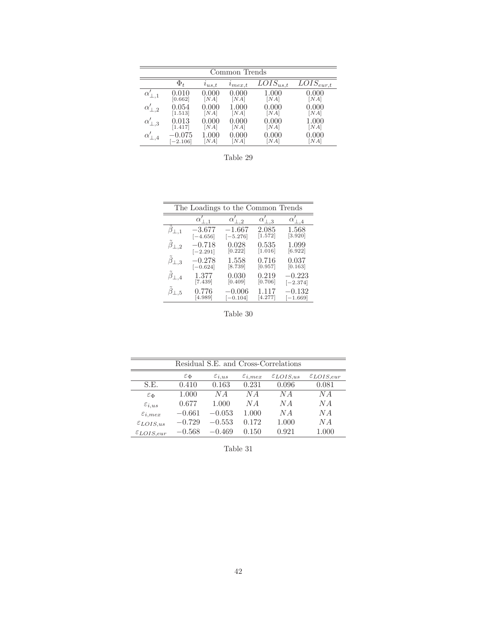| Common Trends |            |            |                |                                    |                                       |  |  |  |
|---------------|------------|------------|----------------|------------------------------------|---------------------------------------|--|--|--|
|               | $\Phi_t$   | $i_{us,t}$ | $\ell_{mex,t}$ | $\overline{LO}$ IS <sub>us,t</sub> | $\overline{LO}$ <i>I</i> $S_{eur, t}$ |  |  |  |
| $_{\alpha}$   | 0.010      | 0.000      | 0.000          | 1.000                              | 0.000                                 |  |  |  |
|               | [0.662]    | [NA]       | [NA]           | [NA]                               | NA                                    |  |  |  |
| $\cdot$ 2     | 0.054      | 0.000      | 1.000          | $0.000\,$                          | $0.000\,$                             |  |  |  |
|               | [1.513]    | [NA]       | [NA]           | [NA]                               | NA                                    |  |  |  |
| , 3           | 0.013      | $0.000\,$  | 0.000          | 0.000                              | 1.000                                 |  |  |  |
|               | 1.417      | [NA]       | [NA]           | [NA]                               | NA                                    |  |  |  |
|               | 0.075      | $1.000\,$  | 0.000          | 0.000                              | $0.000\,$                             |  |  |  |
|               | $[-2.106]$ | [NA]       | [NA]           | [NA]                               | NA                                    |  |  |  |

Table 29

| The Loadings to the Common Trends |            |                            |          |            |  |  |  |  |
|-----------------------------------|------------|----------------------------|----------|------------|--|--|--|--|
|                                   | $\alpha$   | $\alpha'$<br>$\mathcal{D}$ | $\Box$ 3 |            |  |  |  |  |
| $\beta_{\perp,1}$                 | $-3.677$   | $-1.667$                   | 2.085    | $1.568\,$  |  |  |  |  |
|                                   | $[-4.656]$ | $[-5.276]$                 | [1.572]  | [3.920]    |  |  |  |  |
| $\tilde{\beta}_{\perp,2}$         | $-0.718$   | 0.028                      | 0.535    | 1.099      |  |  |  |  |
|                                   | $[-2.291]$ | [0.222]                    | [1.016]  | [6.922]    |  |  |  |  |
| $\tilde{\beta}_{\perp,3}$         | $-0.278$   | $1.558\,$                  | 0.716    | 0.037      |  |  |  |  |
|                                   | $[-0.624]$ | [8.739]                    | [0.957]  | [0.163]    |  |  |  |  |
| $\tilde{\beta}_{\perp,4}$         | 1.377      | $\,0.030\,$                | 0.219    | $-0.223$   |  |  |  |  |
|                                   | [7.439]    | [0.409]                    | [0.706]  | $[-2.374]$ |  |  |  |  |
| $\overline{1.5}$                  | 0.776      | $-0.006$                   | 1.117    | $-0.132$   |  |  |  |  |
|                                   | [4.989]    | $[-0.104]$                 | [4.277]  | $[-1.669]$ |  |  |  |  |

Table 30

|                        | Residual S.E. and Cross-Correlations |                      |                        |                      |                       |  |  |  |  |
|------------------------|--------------------------------------|----------------------|------------------------|----------------------|-----------------------|--|--|--|--|
|                        | $\varepsilon_{\Phi}$                 | $\varepsilon_{i,us}$ | $\varepsilon_{i, max}$ | $\epsilon_{LOIS,us}$ | $\epsilon_{LOIS,eur}$ |  |  |  |  |
| S.E.                   | 0.410                                | 0.163                | 0.231                  | 0.096                | 0.081                 |  |  |  |  |
| $\varepsilon_{\Phi}$   | 1.000                                | N A                  | NA                     | N A                  | N A                   |  |  |  |  |
| $\varepsilon_{i,us}$   | 0.677                                | 1.000                | N A                    | N A                  | N A                   |  |  |  |  |
| $\varepsilon_{i, max}$ | $-0.661$                             | $-0.053$             | 1.000                  | N A                  | N A                   |  |  |  |  |
| $\epsilon_{LOIS,us}$   | $-0.729$                             | $-0.553$             | 0.172                  | 1.000                | NА                    |  |  |  |  |
| $\epsilon_{LOIS,eur}$  | $-0.568$                             | $-0.469$             | 0.150                  | 0.921                | 1.000                 |  |  |  |  |

Table 31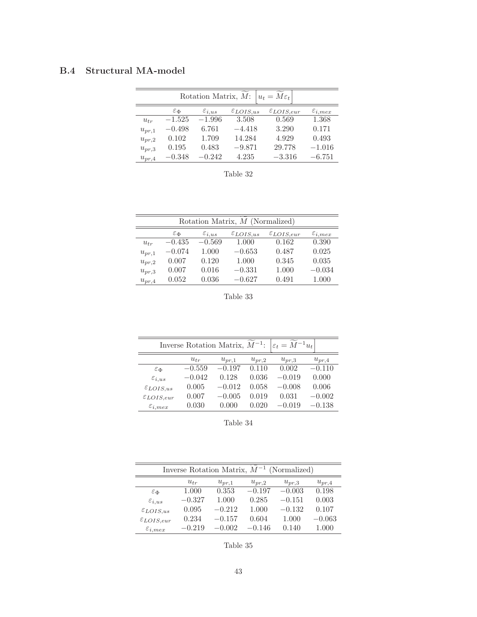## **B.4 Structural MA-model**

| $ u_t = M \varepsilon_t $<br>Rotation Matrix, M: |                      |                      |                      |                       |                        |  |  |  |  |
|--------------------------------------------------|----------------------|----------------------|----------------------|-----------------------|------------------------|--|--|--|--|
|                                                  | $\varepsilon_{\Phi}$ | $\varepsilon_{i,us}$ | $\epsilon_{LOIS,us}$ | $\epsilon_{LOIS,eur}$ | $\varepsilon_{i, max}$ |  |  |  |  |
| $u_{tr}$                                         | $-1.525$             | $-1.996$             | 3.508                | 0.569                 | 1.368                  |  |  |  |  |
| $u_{pr,1}$                                       | $-0.498$             | 6.761                | $-4.418$             | 3.290                 | 0.171                  |  |  |  |  |
| $u_{pr,2}$                                       | 0.102                | 1.709                | 14.284               | 4.929                 | 0.493                  |  |  |  |  |
| $u_{pr,3}$                                       | 0.195                | 0.483                | $-9.871$             | 29.778                | $-1.016$               |  |  |  |  |
| $u_{pr,4}$                                       | $-0.348$             | $-0.242$             | 4.235                | $-3.316$              | $-6.751$               |  |  |  |  |

Table 32

| Rotation Matrix, M (Normalized) |                      |                      |                         |                       |                        |  |  |  |  |
|---------------------------------|----------------------|----------------------|-------------------------|-----------------------|------------------------|--|--|--|--|
|                                 | $\varepsilon_{\Phi}$ | $\varepsilon_{i,us}$ | $\mathcal{E}_{LOIS,us}$ | $\epsilon_{LOIS,eur}$ | $\varepsilon_{i, max}$ |  |  |  |  |
| $u_{tr}$                        | $-0.435$             | $-0.569$             | 1.000                   | 0.162                 | 0.390                  |  |  |  |  |
| $u_{pr,1}$                      | $-0.074$             | 1.000                | $-0.653$                | 0.487                 | 0.025                  |  |  |  |  |
| $u_{pr,2}$                      | 0.007                | 0.120                | 1.000                   | 0.345                 | 0.035                  |  |  |  |  |
| $u_{pr,3}$                      | 0.007                | 0.016                | $-0.331$                | 1.000                 | $-0.034$               |  |  |  |  |
| $u_{pr,4}$                      | 0.052                | 0.036                | $-0.627$                | 0.491                 | 1.000                  |  |  |  |  |

Table 33

| Inverse Rotation Matrix, $\tilde{M}^{-1}$ :<br>$\left \varepsilon_t = \overline{M}^{-1} u_t\right $ |          |            |            |            |            |  |  |  |
|-----------------------------------------------------------------------------------------------------|----------|------------|------------|------------|------------|--|--|--|
|                                                                                                     | $u_{tr}$ | $u_{pr,1}$ | $u_{pr,2}$ | $u_{pr,3}$ | $u_{pr,4}$ |  |  |  |
| $\varepsilon_{\Phi}$                                                                                | $-0.559$ | $-0.197$   | 0.110      | 0.002      | $-0.110$   |  |  |  |
| $\varepsilon_{i,us}$                                                                                | $-0.042$ | 0.128      | 0.036      | $-0.019$   | 0.000      |  |  |  |
| $\mathcal{E}_{LOIS,us}$                                                                             | 0.005    | $-0.012$   | 0.058      | $-0.008$   | 0.006      |  |  |  |
| $\epsilon_{LOIS,eur}$                                                                               | 0.007    | $-0.005$   | 0.019      | 0.031      | $-0.002$   |  |  |  |
| $\varepsilon_{i, max}$                                                                              | 0.030    | 0.000      | 0.020      | $-0.019$   | $-0.138$   |  |  |  |

Table 34

| Inverse Rotation Matrix, $\overline{M}^{-1}$ (Normalized) |          |            |            |            |            |  |  |  |
|-----------------------------------------------------------|----------|------------|------------|------------|------------|--|--|--|
|                                                           | $u_{tr}$ | $u_{pr,1}$ | $u_{pr,2}$ | $u_{pr,3}$ | $u_{pr,4}$ |  |  |  |
| $\varepsilon_{\Phi}$                                      | 1.000    | 0.353      | $-0.197$   | $-0.003$   | 0.198      |  |  |  |
| $\varepsilon_{i,us}$                                      | $-0.327$ | 1.000      | 0.285      | $-0.151$   | 0.003      |  |  |  |
| $\mathcal{E}_{LOIS,us}$                                   | 0.095    | $-0.212$   | 1.000      | $-0.132$   | 0.107      |  |  |  |
| $\epsilon_{LOIS,eur}$                                     | 0.234    | $-0.157$   | 0.604      | 1.000      | $-0.063$   |  |  |  |
| $\varepsilon_{i, max}$                                    | $-0.219$ | $-0.002$   | $-0.146$   | 0.140      | 1.000      |  |  |  |

Table 35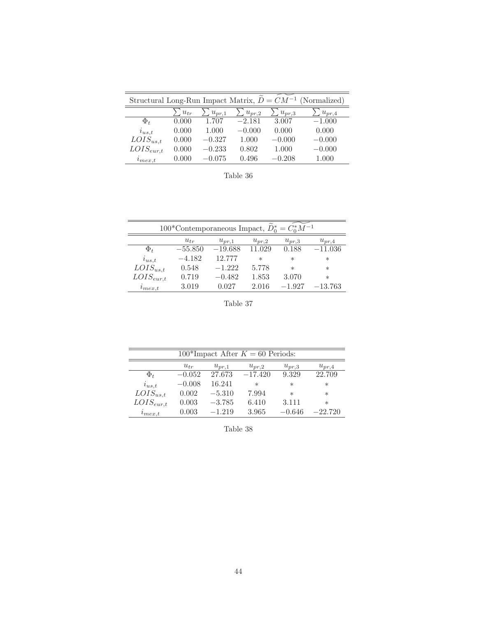| Structural Long-Run Impact Matrix, $D = CM^{-1}$ |          |            |            |            | (Normalized) |
|--------------------------------------------------|----------|------------|------------|------------|--------------|
|                                                  | $u_{tr}$ | $u_{pr,1}$ | $u_{pr,2}$ | $u_{pr,3}$ | $u_{pr,4}$   |
| $\Phi_t$                                         | 0.000    | 1.707      | $-2.181$   | 3.007      | $-1.000$     |
| $i_{us,t}$                                       | 0.000    | 1.000      | $-0.000$   | 0.000      | 0.000        |
| $LOIS_{us,t}$                                    | 0.000    | $-0.327$   | 1.000      | $-0.000$   | $-0.000$     |
| $LOIS_{eur,t}$                                   | 0.000    | $-0.233$   | 0.802      | 1.000      | $-0.000$     |
| $\imath_{\mathit{mex,t}}$                        | 0.000    | $-0.075$   | 0.496      | $-0.208$   | 1.000        |

Table 36

| 100*Contemporaneous Impact, $D_0^* = C_0^* M^{-1}$ |           |            |            |            |            |
|----------------------------------------------------|-----------|------------|------------|------------|------------|
|                                                    | $u_{tr}$  | $u_{pr,1}$ | $u_{pr,2}$ | $u_{pr,3}$ | $u_{pr,4}$ |
| $\Phi_t$                                           | $-55.850$ | $-19.688$  | 11.029     | 0.188      | $-11.036$  |
| $i_{us,t}$                                         | $-4.182$  | 12.777     | $\ast$     | $\ast$     | $\ast$     |
| $LOIS_{us,t}$                                      | 0.548     | $-1.222$   | 5.778      | $\ast$     | $\ast$     |
| $LOIS_{eur,t}$                                     | 0.719     | $-0.482$   | 1.853      | 3.070      | $\ast$     |
| $\ell_{max,t}$                                     | 3.019     | 0.027      | 2.016      | $-1.927$   | $-13.763$  |

Table 37

| 100*Impact After $K = 60$ Periods: |          |            |            |            |            |
|------------------------------------|----------|------------|------------|------------|------------|
|                                    | $u_{tr}$ | $u_{pr,1}$ | $u_{pr,2}$ | $u_{pr,3}$ | $u_{pr,4}$ |
| $\Phi_t$                           | $-0.052$ | 27.673     | $-17.420$  | 9.329      | 22.709     |
| $i_{us,t}$                         | $-0.008$ | 16.241     | $\ast$     | $\ast$     | $\ast$     |
| $LOIS_{us,t}$                      | 0.002    | $-5.310$   | 7.994      | $\ast$     | $\ast$     |
| $LOIS_{eur,t}$                     | 0.003    | $-3.785$   | 6.410      | 3.111      | $\ast$     |
| $i_{max,t}$                        | 0.003    | $-1.219$   | 3.965      | $-0.646$   | $-22.720$  |

Table 38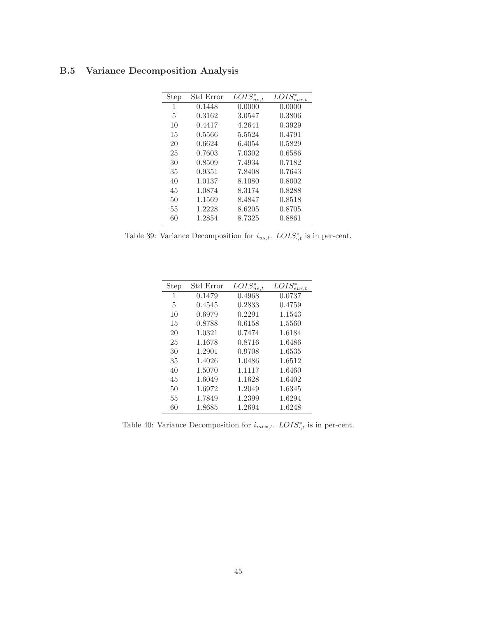| <b>Step</b> | Std Error | $\overline{LO}IS_{us,t}^*$ | $\overline{LO}$ IS <sup>*</sup> <sub>eur,t</sub> |
|-------------|-----------|----------------------------|--------------------------------------------------|
| 1           | 0.1448    | 0.0000                     | 0.0000                                           |
| 5           | 0.3162    | 3.0547                     | 0.3806                                           |
| 10          | 0.4417    | 4.2641                     | 0.3929                                           |
| 15          | 0.5566    | 5.5524                     | 0.4791                                           |
| 20          | 0.6624    | 6.4054                     | 0.5829                                           |
| 25          | 0.7603    | 7.0302                     | 0.6586                                           |
| 30          | 0.8509    | 7.4934                     | 0.7182                                           |
| 35          | 0.9351    | 7.8408                     | 0.7643                                           |
| 40          | 1.0137    | 8.1080                     | 0.8002                                           |
| 45          | 1.0874    | 8.3174                     | 0.8288                                           |
| 50          | 1.1569    | 8.4847                     | 0.8518                                           |
| 55          | 1.2228    | 8.6205                     | 0.8705                                           |
| 60          | 1.2854    | 8.7325                     | 0.8861                                           |

## **B.5 Variance Decomposition Analysis**

Table 39: Variance Decomposition for  $i_{us,t}$ .  $LOIS^*_{,t}$  is in per-cent.

| Step | Std Error | $\overline{LOIS}_{us,t}^*$ | $LOIS^*_{\sim}$<br>$_{eur.t}$ |
|------|-----------|----------------------------|-------------------------------|
| 1    | 0.1479    | 0.4968                     | 0.0737                        |
| 5    | 0.4545    | 0.2833                     | 0.4759                        |
| 10   | 0.6979    | 0.2291                     | 1.1543                        |
| 15   | 0.8788    | 0.6158                     | 1.5560                        |
| 20   | 1.0321    | 0.7474                     | 1.6184                        |
| 25   | 1.1678    | 0.8716                     | 1.6486                        |
| 30   | 1.2901    | 0.9708                     | 1.6535                        |
| 35   | 1.4026    | 1.0486                     | 1.6512                        |
| 40   | 1.5070    | 1.1117                     | 1.6460                        |
| 45   | 1.6049    | 1.1628                     | 1.6402                        |
| 50   | 1.6972    | 1.2049                     | 1.6345                        |
| 55   | 1.7849    | 1.2399                     | 1.6294                        |
| 60   | 1.8685    | 1.2694                     | 1.6248                        |

Table 40: Variance Decomposition for  $i_{mex,t}$ .  $LOIS^*_{,t}$  is in per-cent.